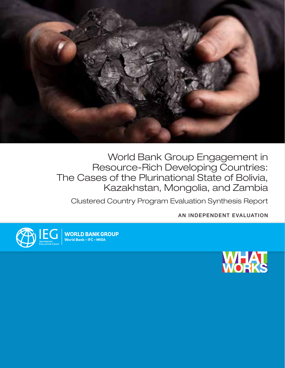

World Bank Group Engagement in Resource-Rich Developing Countries: The Cases of the Plurinational State of Bolivia, Kazakhstan, Mongolia, and Zambia

Clustered Country Program Evaluation Synthesis Report

AN INDEPENDENT EVALUATION



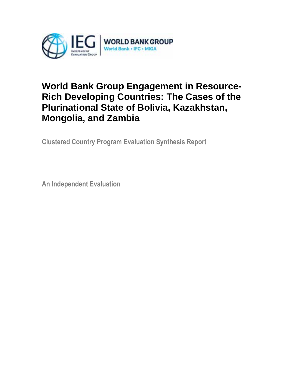

# **World Bank Group Engagement in Resource-Rich Developing Countries: The Cases of the Plurinational State of Bolivia, Kazakhstan, Mongolia, and Zambia**

**Clustered Country Program Evaluation Synthesis Report** 

**An Independent Evaluation**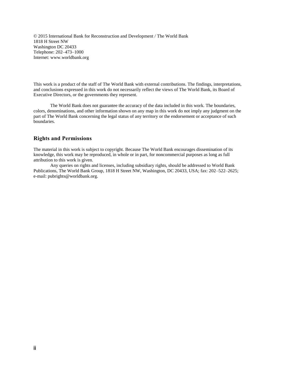© 2015 International Bank for Reconstruction and Development / The World Bank 1818 H Street NW Washington DC 20433 Telephone: 202–473–1000 Internet: www.worldbank.org

This work is a product of the staff of The World Bank with external contributions. The findings, interpretations, and conclusions expressed in this work do not necessarily reflect the views of The World Bank, its Board of Executive Directors, or the governments they represent.

The World Bank does not guarantee the accuracy of the data included in this work. The boundaries, colors, denominations, and other information shown on any map in this work do not imply any judgment on the part of The World Bank concerning the legal status of any territory or the endorsement or acceptance of such boundaries.

#### **Rights and Permissions**

The material in this work is subject to copyright. Because The World Bank encourages dissemination of its knowledge, this work may be reproduced, in whole or in part, for noncommercial purposes as long as full attribution to this work is given.

Any queries on rights and licenses, including subsidiary rights, should be addressed to World Bank Publications, The World Bank Group, 1818 H Street NW, Washington, DC 20433, USA; fax: 202–522–2625; e-mail: pubrights@worldbank.org.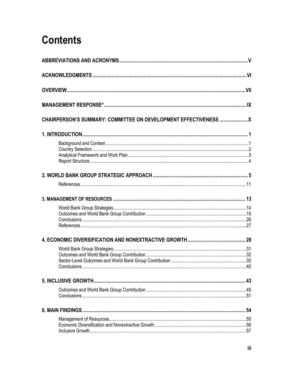# **Contents**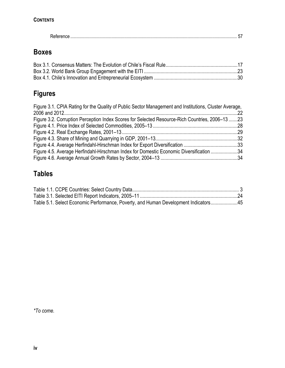|--|

# **Boxes**

# **Figures**

| Figure 3.1. CPIA Rating for the Quality of Public Sector Management and Institutions, Cluster Average, |  |
|--------------------------------------------------------------------------------------------------------|--|
|                                                                                                        |  |
| Figure 3.2. Corruption Perception Index Scores for Selected Resource-Rich Countries, 2006–13 23        |  |
|                                                                                                        |  |
|                                                                                                        |  |
|                                                                                                        |  |
|                                                                                                        |  |
| Figure 4.5. Average Herfindahl-Hirschman Index for Domestic Economic Diversification 34                |  |
|                                                                                                        |  |

# **Tables**

| Table 5.1. Select Economic Performance, Poverty, and Human Development Indicators45 |  |
|-------------------------------------------------------------------------------------|--|

*\*To come.*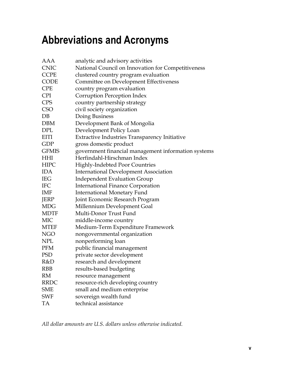# <span id="page-5-0"></span>**Abbreviations and Acronyms**

| AAA          | analytic and advisory activities                    |
|--------------|-----------------------------------------------------|
| <b>CNIC</b>  | National Council on Innovation for Competitiveness  |
| <b>CCPE</b>  | clustered country program evaluation                |
| <b>CODE</b>  | Committee on Development Effectiveness              |
| <b>CPE</b>   | country program evaluation                          |
| <b>CPI</b>   | Corruption Perception Index                         |
| <b>CPS</b>   | country partnership strategy                        |
| <b>CSO</b>   | civil society organization                          |
| $DB$         | Doing Business                                      |
| <b>DBM</b>   | Development Bank of Mongolia                        |
| <b>DPL</b>   | Development Policy Loan                             |
| <b>EITI</b>  | Extractive Industries Transparency Initiative       |
| GDP          | gross domestic product                              |
| <b>GFMIS</b> | government financial management information systems |
| <b>HHI</b>   | Herfindahl-Hirschman Index                          |
| <b>HIPC</b>  | <b>Highly-Indebted Poor Countries</b>               |
| <b>IDA</b>   | <b>International Development Association</b>        |
| <b>IEG</b>   | <b>Independent Evaluation Group</b>                 |
| <b>IFC</b>   | <b>International Finance Corporation</b>            |
| <b>IMF</b>   | <b>International Monetary Fund</b>                  |
| <b>JERP</b>  | Joint Economic Research Program                     |
| <b>MDG</b>   | Millennium Development Goal                         |
| <b>MDTF</b>  | Multi-Donor Trust Fund                              |
| <b>MIC</b>   | middle-income country                               |
| <b>MTEF</b>  | Medium-Term Expenditure Framework                   |
| <b>NGO</b>   | nongovernmental organization                        |
| <b>NPL</b>   | nonperforming loan                                  |
| <b>PFM</b>   | public financial management                         |
| <b>PSD</b>   | private sector development                          |
| R&D          | research and development                            |
| <b>RBB</b>   | results-based budgeting                             |
| RM           | resource management                                 |
| <b>RRDC</b>  | resource-rich developing country                    |
| <b>SME</b>   | small and medium enterprise                         |
| <b>SWF</b>   | sovereign wealth fund                               |
| TA           | technical assistance                                |

*All dollar amounts are U.S. dollars unless otherwise indicated.*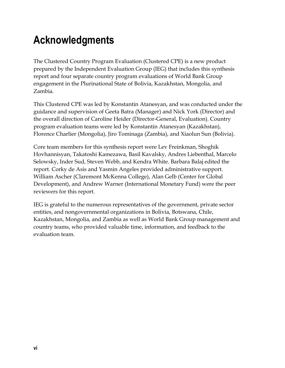# <span id="page-6-0"></span>**Acknowledgments**

The Clustered Country Program Evaluation (Clustered CPE) is a new product prepared by the Independent Evaluation Group (IEG) that includes this synthesis report and four separate country program evaluations of World Bank Group engagement in the Plurinational State of Bolivia, Kazakhstan, Mongolia, and Zambia.

This Clustered CPE was led by Konstantin Atanesyan, and was conducted under the guidance and supervision of Geeta Batra (Manager) and Nick York (Director) and the overall direction of Caroline Heider (Director-General, Evaluation). Country program evaluation teams were led by Konstantin Atanesyan (Kazakhstan), Florence Charlier (Mongolia), Jiro Tominaga (Zambia), and Xiaolun Sun (Bolivia).

Core team members for this synthesis report were Lev Freinkman, Shoghik Hovhannisyan, Takatoshi Kamezawa, Basil Kavalsky, Andres Liebenthal, Marcelo Selowsky, Inder Sud, Steven Webb, and Kendra White. Barbara Balaj edited the report. Corky de Asis and Yasmin Angeles provided administrative support. William Ascher (Claremont McKenna College), Alan Gelb (Center for Global Development), and Andrew Warner (International Monetary Fund) were the peer reviewers for this report.

IEG is grateful to the numerous representatives of the government, private sector entities, and nongovernmental organizations in Bolivia, Botswana, Chile, Kazakhstan, Mongolia, and Zambia as well as World Bank Group management and country teams, who provided valuable time, information, and feedback to the evaluation team.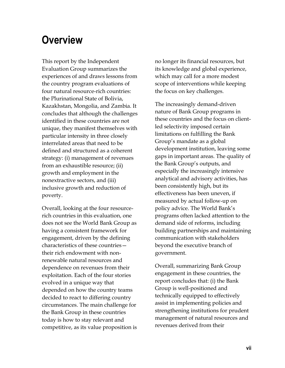# <span id="page-7-0"></span>**Overview**

This report by the Independent Evaluation Group summarizes the experiences of and draws lessons from the country program evaluations of four natural resource-rich countries: the Plurinational State of Bolivia, Kazakhstan, Mongolia, and Zambia. It concludes that although the challenges identified in these countries are not unique, they manifest themselves with particular intensity in three closely interrelated areas that need to be defined and structured as a coherent strategy: (i) management of revenues from an exhaustible resource; (ii) growth and employment in the nonextractive sectors, and (iii) inclusive growth and reduction of poverty.

Overall, looking at the four resourcerich countries in this evaluation, one does not see the World Bank Group as having a consistent framework for engagement, driven by the defining characteristics of these countries their rich endowment with nonrenewable natural resources and dependence on revenues from their exploitation. Each of the four stories evolved in a unique way that depended on how the country teams decided to react to differing country circumstances. The main challenge for the Bank Group in these countries today is how to stay relevant and competitive, as its value proposition is no longer its financial resources, but its knowledge and global experience, which may call for a more modest scope of interventions while keeping the focus on key challenges.

The increasingly demand-driven nature of Bank Group programs in these countries and the focus on clientled selectivity imposed certain limitations on fulfilling the Bank Group's mandate as a global development institution, leaving some gaps in important areas. The quality of the Bank Group's outputs, and especially the increasingly intensive analytical and advisory activities, has been consistently high, but its effectiveness has been uneven, if measured by actual follow-up on policy advice. The World Bank's programs often lacked attention to the demand side of reforms, including building partnerships and maintaining communication with stakeholders beyond the executive branch of government.

Overall, summarizing Bank Group engagement in these countries, the report concludes that: (i) the Bank Group is well-positioned and technically equipped to effectively assist in implementing policies and strengthening institutions for prudent management of natural resources and revenues derived from their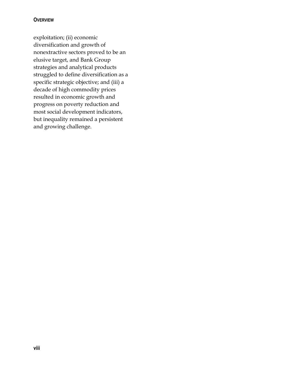### **OVERVIEW**

exploitation; (ii) economic diversification and growth of nonextractive sectors proved to be an elusive target, and Bank Group strategies and analytical products struggled to define diversification as a specific strategic objective; and (iii) a decade of high commodity prices resulted in economic growth and progress on poverty reduction and most social development indicators, but inequality remained a persistent and growing challenge.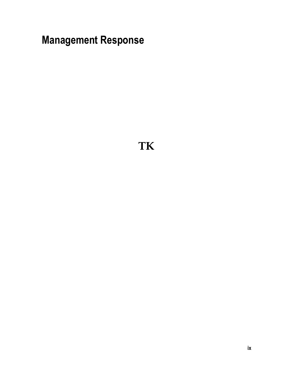<span id="page-9-0"></span>**Management Response**

**TK**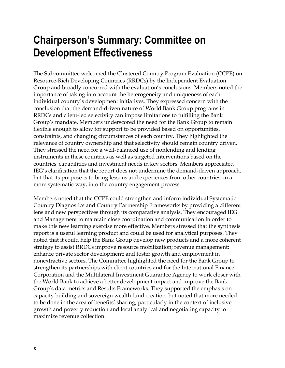# <span id="page-10-0"></span>**Chairperson's Summary: Committee on Development Effectiveness**

The Subcommittee welcomed the Clustered Country Program Evaluation (CCPE) on Resource-Rich Developing Countries (RRDCs) by the Independent Evaluation Group and broadly concurred with the evaluation's conclusions. Members noted the importance of taking into account the heterogeneity and uniqueness of each individual country's development initiatives. They expressed concern with the conclusion that the demand-driven nature of World Bank Group programs in RRDCs and client-led selectivity can impose limitations to fulfilling the Bank Group's mandate. Members underscored the need for the Bank Group to remain flexible enough to allow for support to be provided based on opportunities, constraints, and changing circumstances of each country. They highlighted the relevance of country ownership and that selectivity should remain country driven. They stressed the need for a well-balanced use of nonlending and lending instruments in these countries as well as targeted interventions based on the countries' capabilities and investment needs in key sectors. Members appreciated IEG's clarification that the report does not undermine the demand-driven approach, but that its purpose is to bring lessons and experiences from other countries, in a more systematic way, into the country engagement process.

Members noted that the CCPE could strengthen and inform individual Systematic Country Diagnostics and Country Partnership Frameworks by providing a different lens and new perspectives through its comparative analysis. They encouraged IEG and Management to maintain close coordination and communication in order to make this new learning exercise more effective. Members stressed that the synthesis report is a useful learning product and could be used for analytical purposes. They noted that it could help the Bank Group develop new products and a more coherent strategy to assist RRDCs improve resource mobilization; revenue management; enhance private sector development; and foster growth and employment in nonextractive sectors. The Committee highlighted the need for the Bank Group to strengthen its partnerships with client countries and for the International Finance Corporation and the Multilateral Investment Guarantee Agency to work closer with the World Bank to achieve a better development impact and improve the Bank Group's data metrics and Results Frameworks. They supported the emphasis on capacity building and sovereign wealth fund creation, but noted that more needed to be done in the area of benefits' sharing, particularly in the context of inclusive growth and poverty reduction and local analytical and negotiating capacity to maximize revenue collection.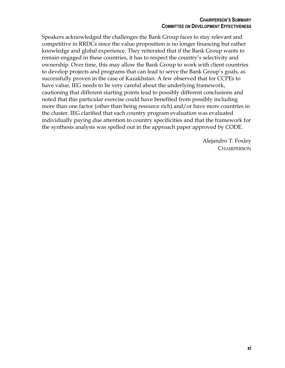#### **CHAIRPERSON'S SUMMARY COMMITTEE ON DEVELOPMENT EFFECTIVENESS**

Speakers acknowledged the challenges the Bank Group faces to stay relevant and competitive in RRDCs since the value proposition is no longer financing but rather knowledge and global experience. They reiterated that if the Bank Group wants to remain engaged in these countries, it has to respect the country's selectivity and ownership. Over time, this may allow the Bank Group to work with client countries to develop projects and programs that can lead to serve the Bank Group's goals, as successfully proven in the case of Kazakhstan. A few observed that for CCPEs to have value, IEG needs to be very careful about the underlying framework, cautioning that different starting points lead to possibly different conclusions and noted that this particular exercise could have benefited from possibly including more than one factor (other than being resource rich) and/or have more countries in the cluster. IEG clarified that each country program evaluation was evaluated individually paying due attention to country specificities and that the framework for the synthesis analysis was spelled out in the approach paper approved by CODE.

> Alejandro T. Foxley **CHAIRPERSON**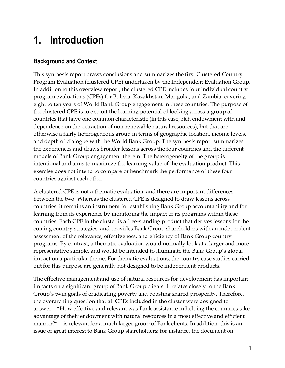# <span id="page-13-0"></span>**1. Introduction**

# <span id="page-13-1"></span>**Background and Context**

This synthesis report draws conclusions and summarizes the first Clustered Country Program Evaluation (clustered CPE) undertaken by the Independent Evaluation Group. In addition to this overview report, the clustered CPE includes four individual country program evaluations (CPEs) for Bolivia, Kazakhstan, Mongolia, and Zambia, covering eight to ten years of World Bank Group engagement in these countries. The purpose of the clustered CPE is to exploit the learning potential of looking across a group of countries that have one common characteristic (in this case, rich endowment with and dependence on the extraction of non-renewable natural resources), but that are otherwise a fairly heterogeneous group in terms of geographic location, income levels, and depth of dialogue with the World Bank Group. The synthesis report summarizes the experiences and draws broader lessons across the four countries and the different models of Bank Group engagement therein. The heterogeneity of the group is intentional and aims to maximize the learning value of the evaluation product. This exercise does not intend to compare or benchmark the performance of these four countries against each other.

A clustered CPE is not a thematic evaluation, and there are important differences between the two. Whereas the clustered CPE is designed to draw lessons across countries, it remains an instrument for establishing Bank Group accountability and for learning from its experience by monitoring the impact of its programs within these countries. Each CPE in the cluster is a free-standing product that derives lessons for the coming country strategies, and provides Bank Group shareholders with an independent assessment of the relevance, effectiveness, and efficiency of Bank Group country programs. By contrast, a thematic evaluation would normally look at a larger and more representative sample, and would be intended to illuminate the Bank Group's global impact on a particular theme. For thematic evaluations, the country case studies carried out for this purpose are generally not designed to be independent products.

The effective management and use of natural resources for development has important impacts on a significant group of Bank Group clients. It relates closely to the Bank Group's twin goals of eradicating poverty and boosting shared prosperity. Therefore, the overarching question that all CPEs included in the cluster were designed to answer—"How effective and relevant was Bank assistance in helping the countries take advantage of their endowment with natural resources in a most effective and efficient manner?"—is relevant for a much larger group of Bank clients. In addition, this is an issue of great interest to Bank Group shareholders: for instance, the document on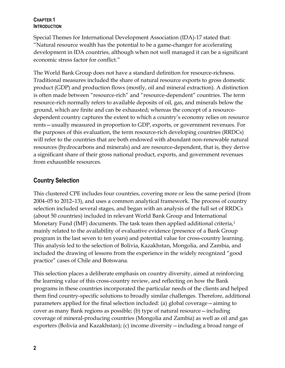### **CHAPTER 1 INTRODUCTION**

Special Themes for International Development Association (IDA)-17 stated that: "Natural resource wealth has the potential to be a game-changer for accelerating development in IDA countries, although when not well managed it can be a significant economic stress factor for conflict."

The World Bank Group does not have a standard definition for resource-richness. Traditional measures included the share of natural resource exports to gross domestic product (GDP) and production flows (mostly, oil and mineral extraction). A distinction is often made between "resource-rich" and "resource-dependent" countries. The term resource-rich normally refers to available deposits of oil, gas, and minerals below the ground, which are finite and can be exhausted; whereas the concept of a resourcedependent country captures the extent to which a country's economy relies on resource rents—usually measured in proportion to GDP, exports, or government revenues. For the purposes of this evaluation, the term resource-rich developing countries (RRDCs) will refer to the countries that are both endowed with abundant non-renewable natural resources (hydrocarbons and minerals) and are resource-dependent, that is, they derive a significant share of their gross national product, exports, and government revenues from exhaustible resources.

# <span id="page-14-0"></span>**Country Selection**

This clustered CPE includes four countries, covering more or less the same period (from 2004–05 to 2012–13), and uses a common analytical framework. The process of country selection included several stages, and began with an analysis of the full set of RRDCs (about 50 countries) included in relevant World Bank Group and International Monetary Fund (IMF) documents. The task team then applied additional criteria,<sup>1</sup> mainly related to the availability of evaluative evidence (presence of a Bank Group program in the last seven to ten years) and potential value for cross-country learning. This analysis led to the selection of Bolivia, Kazakhstan, Mongolia, and Zambia, and included the drawing of lessons from the experience in the widely recognized "good practice" cases of Chile and Botswana.

This selection places a deliberate emphasis on country diversity, aimed at reinforcing the learning value of this cross-country review, and reflecting on how the Bank programs in these countries incorporated the particular needs of the clients and helped them find country-specific solutions to broadly similar challenges. Therefore, additional parameters applied for the final selection included: (a) global coverage—aiming to cover as many Bank regions as possible; (b) type of natural resource—including coverage of mineral-producing countries (Mongolia and Zambia) as well as oil and gas exporters (Bolivia and Kazakhstan); (c) income diversity—including a broad range of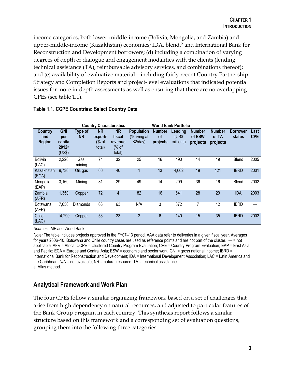income categories, both lower-middle-income (Bolivia, Mongolia, and Zambia) and upper-middle-income (Kazakhstan) economies; IDA, blend,<sup>2</sup> and International Bank for Reconstruction and Development borrowers; (d) including a combination of varying degrees of depth of dialogue and engagement modalities with the clients (lending, technical assistance (TA), reimbursable advisory services, and combinations thereof); and (e) availability of evaluative material—including fairly recent Country Partnership Strategy and Completion Reports and project-level evaluations that indicated potential issues for more in-depth assessments as well as ensuring that there are no overlapping CPEs (see table 1.1).

|                                        |                                                |                      | <b>Country Characteristics</b>          |                                                  | <b>World Bank Portfolio</b>                   |                                 |                               |                                     |                                    |                           |                    |
|----------------------------------------|------------------------------------------------|----------------------|-----------------------------------------|--------------------------------------------------|-----------------------------------------------|---------------------------------|-------------------------------|-------------------------------------|------------------------------------|---------------------------|--------------------|
| <b>Country</b><br>and<br><b>Region</b> | <b>GNI</b><br>per<br>capita<br>2012a<br>(US\$) | Type of<br><b>NR</b> | <b>NR</b><br>exports<br>(% of<br>total) | <b>NR</b><br>fiscal<br>revenue<br>% of<br>total) | <b>Population</b><br>(% living at<br>\$2/day) | <b>Number</b><br>οf<br>projects | Lending<br>(US\$<br>millions) | <b>Number</b><br>of ESW<br>projects | <b>Number</b><br>of TA<br>projects | <b>Borrower</b><br>status | Last<br><b>CPE</b> |
| Bolivia<br>(LAC)                       | 2,220                                          | Gas,<br>mining       | 74                                      | 32                                               | 25                                            | 16                              | 490                           | 14                                  | 19                                 | Blend                     | 2005               |
| Kazakhstan<br>(ECA)                    | 9,730                                          | Oil, gas             | 60                                      | 40                                               |                                               | 13                              | 4,662                         | 19                                  | 121                                | <b>IBRD</b>               | 2001               |
| Mongolia<br>(EAP)                      | 3,160                                          | Mining               | 81                                      | 29                                               | 49                                            | 14                              | 209                           | 36                                  | 16                                 | Blend                     | 2002               |
| Zambia<br>(AFR)                        | 1,350                                          | Copper               | 72                                      | 4                                                | 82                                            | 16                              | 641                           | 28                                  | 29                                 | <b>IDA</b>                | 2003               |
| Botswana<br>(AFR)                      | 7,650                                          | <b>Diamonds</b>      | 66                                      | 63                                               | N/A                                           | 3                               | 372                           | 7                                   | 12                                 | <b>IBRD</b>               |                    |
| Chile<br>(LAC)                         | 14,290                                         | Copper               | 53                                      | 23                                               | $\overline{2}$                                | $6\phantom{.}6$                 | 140                           | 15                                  | 35                                 | <b>IBRD</b>               | 2002               |

#### <span id="page-15-1"></span>**Table 1.1. CCPE Countries: Select Country Data**

*Sources:* IMF and World Bank.

*Note:* The table includes projects approved in the FY07–13 period. AAA data refer to deliveries in a given fiscal year. Averages for years 2006–10. Botswana and Chile country cases are used as reference points and are not part of the cluster. — = not applicable; AFR = Africa; CCPE = Clustered Country Program Evaluation; CPE = Country Program Evaluation; EAP = East Asia and Pacific; ECA = Europe and Central Asia; ESW = economic and sector work; GNI = gross national income; IBRD = International Bank for Reconstruction and Development; IDA = International Development Association; LAC = Latin America and the Caribbean;  $N/A = not available$ ;  $NR =$  natural resource;  $TA =$  technical assistance. a. Atlas method.

# <span id="page-15-0"></span>**Analytical Framework and Work Plan**

The four CPEs follow a similar organizing framework based on a set of challenges that arise from high dependency on natural resources, and adjusted to particular features of the Bank Group program in each country. This synthesis report follows a similar structure based on this framework and a corresponding set of evaluation questions, grouping them into the following three categories: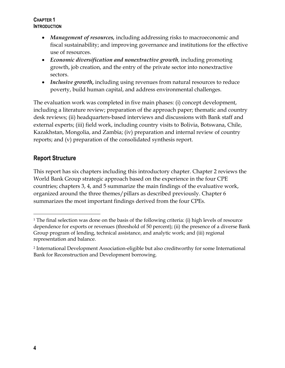### **CHAPTER 1 INTRODUCTION**

- *Management of resources,* including addressing risks to macroeconomic and fiscal sustainability; and improving governance and institutions for the effective use of resources.
- *Economic diversification and nonextractive growth,* including promoting growth, job creation, and the entry of the private sector into nonextractive sectors.
- *Inclusive growth***,** including using revenues from natural resources to reduce poverty, build human capital, and address environmental challenges.

The evaluation work was completed in five main phases: (i) concept development, including a literature review; preparation of the approach paper; thematic and country desk reviews; (ii) headquarters-based interviews and discussions with Bank staff and external experts; (iii) field work, including country visits to Bolivia, Botswana, Chile, Kazakhstan, Mongolia, and Zambia; (iv) preparation and internal review of country reports; and (v) preparation of the consolidated synthesis report.

# <span id="page-16-0"></span>**Report Structure**

This report has six chapters including this introductory chapter. Chapter 2 reviews the World Bank Group strategic approach based on the experience in the four CPE countries; chapters 3, 4, and 5 summarize the main findings of the evaluative work, organized around the three themes/pillars as described previously. Chapter 6 summarizes the most important findings derived from the four CPEs.

 $\overline{a}$ 

<sup>1</sup> The final selection was done on the basis of the following criteria: (i) high levels of resource dependence for exports or revenues (threshold of 50 percent); (ii) the presence of a diverse Bank Group program of lending, technical assistance, and analytic work; and (iii) regional representation and balance.

<sup>2</sup> International Development Association-eligible but also creditworthy for some International Bank for Reconstruction and Development borrowing.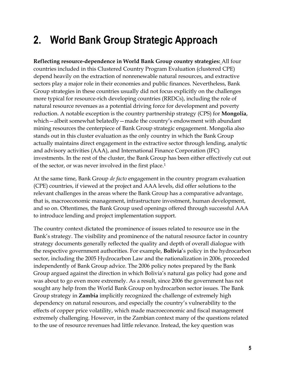# <span id="page-17-0"></span>**2. World Bank Group Strategic Approach**

**Reflecting resource-dependence in World Bank Group country strategies:** All four countries included in this Clustered Country Program Evaluation (clustered CPE) depend heavily on the extraction of nonrenewable natural resources, and extractive sectors play a major role in their economies and public finances. Nevertheless, Bank Group strategies in these countries usually did not focus explicitly on the challenges more typical for resource-rich developing countries (RRDCs), including the role of natural resource revenues as a potential driving force for development and poverty reduction. A notable exception is the country partnership strategy (CPS) for **Mongolia**, which—albeit somewhat belatedly—made the country's endowment with abundant mining resources the centerpiece of Bank Group strategic engagement. Mongolia also stands out in this cluster evaluation as the only country in which the Bank Group actually maintains direct engagement in the extractive sector through lending, analytic and advisory activities (AAA), and International Finance Corporation (IFC) investments. In the rest of the cluster, the Bank Group has been either effectively cut out of the sector, or was never involved in the first place.<sup>1</sup>

At the same time, Bank Group *de facto* engagement in the country program evaluation (CPE) countries, if viewed at the project and AAA levels, did offer solutions to the relevant challenges in the areas where the Bank Group has a comparative advantage, that is, macroeconomic management, infrastructure investment, human development, and so on. Oftentimes, the Bank Group used openings offered through successful AAA to introduce lending and project implementation support.

The country context dictated the prominence of issues related to resource use in the Bank's strategy. The visibility and prominence of the natural resource factor in country strategy documents generally reflected the quality and depth of overall dialogue with the respective government authorities. For example, **Bolivia**'s policy in the hydrocarbon sector, including the 2005 Hydrocarbon Law and the nationalization in 2006, proceeded independently of Bank Group advice. The 2006 policy notes prepared by the Bank Group argued against the direction in which Bolivia's natural gas policy had gone and was about to go even more extremely. As a result, since 2006 the government has not sought any help from the World Bank Group on hydrocarbon sector issues. The Bank Group strategy in **Zambia** implicitly recognized the challenge of extremely high dependency on natural resources, and especially the country's vulnerability to the effects of copper price volatility, which made macroeconomic and fiscal management extremely challenging. However, in the Zambian context many of the questions related to the use of resource revenues had little relevance. Instead, the key question was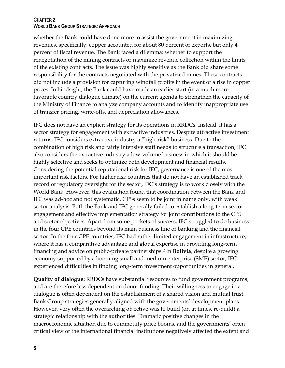#### **CHAPTER 2 WORLD BANK GROUP STRATEGIC APPROACH**

whether the Bank could have done more to assist the government in maximizing revenues, specifically: copper accounted for about 80 percent of exports, but only 4 percent of fiscal revenue. The Bank faced a dilemma: whether to support the renegotiation of the mining contracts or maximize revenue collection within the limits of the existing contracts. The issue was highly sensitive as the Bank did share some responsibility for the contracts negotiated with the privatized mines. These contracts did not include a provision for capturing windfall profits in the event of a rise in copper prices. In hindsight, the Bank could have made an earlier start (in a much more favorable country dialogue climate) on the current agenda to strengthen the capacity of the Ministry of Finance to analyze company accounts and to identify inappropriate use of transfer pricing, write-offs, and depreciation allowances.

IFC does not have an explicit strategy for its operations in RRDCs. Instead, it has a sector strategy for engagement with extractive industries. Despite attractive investment returns, IFC considers extractive industry a "high-risk" business. Due to the combination of high risk and fairly intensive staff needs to structure a transaction, IFC also considers the extractive industry a low-volume business in which it should be highly selective and seeks to optimize both development and financial results. Considering the potential reputational risk for IFC, governance is one of the most important risk factors. For higher risk countries that do not have an established track record of regulatory oversight for the sector, IFC's strategy is to work closely with the World Bank. However, this evaluation found that coordination between the Bank and IFC was ad-hoc and not systematic. CPSs seem to be joint in name only, with weak sector analysis. Both the Bank and IFC generally failed to establish a long-term sector engagement and effective implementation strategy for joint contributions to the CPS and sector objectives. Apart from some pockets of success, IFC struggled to do business in the four CPE countries beyond its main business line of banking and the financial sector. In the four CPE countries, IFC had rather limited engagement in infrastructure, where it has a comparative advantage and global expertise in providing long-term financing and advice on public-private partnerships.<sup>2</sup> In **Bolivia**, despite a growing economy supported by a booming small and medium enterprise (SME) sector, IFC experienced difficulties in finding long-term investment opportunities in general.

**Quality of dialogue:** RRDCs have substantial resources to fund government programs, and are therefore less dependent on donor funding. Their willingness to engage in a dialogue is often dependent on the establishment of a shared vision and mutual trust. Bank Group strategies generally aligned with the governments' development plans. However, very often the overarching objective was to build (or, at times, re-build) a strategic relationship with the authorities. Dramatic positive changes in the macroeconomic situation due to commodity price booms, and the governments' often critical view of the international financial institutions negatively affected the extent and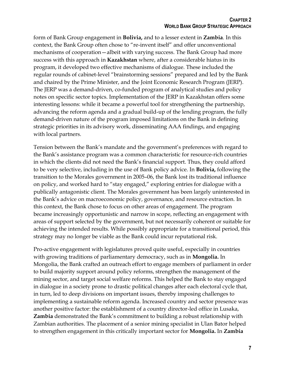form of Bank Group engagement in **Bolivia,** and to a lesser extent in **Zambia**. In this context, the Bank Group often chose to "re-invent itself" and offer unconventional mechanisms of cooperation—albeit with varying success. The Bank Group had more success with this approach in **Kazakhstan** where, after a considerable hiatus in its program, it developed two effective mechanisms of dialogue. These included the regular rounds of cabinet-level "brainstorming sessions" prepared and led by the Bank and chaired by the Prime Minister, and the Joint Economic Research Program (JERP). The JERP was a demand-driven, co-funded program of analytical studies and policy notes on specific sector topics. Implementation of the JERP in Kazakhstan offers some interesting lessons: while it became a powerful tool for strengthening the partnership, advancing the reform agenda and a gradual build-up of the lending program, the fully demand-driven nature of the program imposed limitations on the Bank in defining strategic priorities in its advisory work, disseminating AAA findings, and engaging with local partners.

Tension between the Bank's mandate and the government's preferences with regard to the Bank's assistance program was a common characteristic for resource-rich countries in which the clients did not need the Bank's financial support. Thus, they could afford to be very selective, including in the use of Bank policy advice. In **Bolivia,** following the transition to the Morales government in 2005–06, the Bank lost its traditional influence on policy, and worked hard to "stay engaged," exploring entries for dialogue with a publically antagonistic client. The Morales government has been largely uninterested in the Bank's advice on macroeconomic policy, governance, and resource extraction. In this context, the Bank chose to focus on other areas of engagement. The program became increasingly opportunistic and narrow in scope, reflecting an engagement with areas of support selected by the government, but not necessarily coherent or suitable for achieving the intended results. While possibly appropriate for a transitional period, this strategy may no longer be viable as the Bank could incur reputational risk.

Pro-active engagement with legislatures proved quite useful, especially in countries with growing traditions of parliamentary democracy, such as in **Mongolia.** In Mongolia, the Bank crafted an outreach effort to engage members of parliament in order to build majority support around policy reforms, strengthen the management of the mining sector, and target social welfare reforms. This helped the Bank to stay engaged in dialogue in a society prone to drastic political changes after each electoral cycle that, in turn, led to deep divisions on important issues, thereby imposing challenges to implementing a sustainable reform agenda. Increased country and sector presence was another positive factor: the establishment of a country director-led office in Lusaka, **Zambia** demonstrated the Bank's commitment to building a robust relationship with Zambian authorities. The placement of a senior mining specialist in Ulan Bator helped to strengthen engagement in this critically important sector for **Mongolia.** In **Zambia**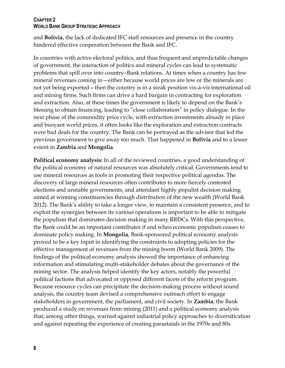#### **CHAPTER 2 WORLD BANK GROUP STRATEGIC APPROACH**

and **Bolivia**, the lack of dedicated IFC staff resources and presence in the country hindered effective cooperation between the Bank and IFC.

In countries with active electoral politics, and thus frequent and unpredictable changes of government, the interaction of politics and mineral cycles can lead to systematic problems that spill over into country–Bank relations. At times when a country has few mineral revenues coming in—either because world prices are low or the minerals are not yet being exported—then the country is in a weak position vis-à-vis international oil and mining firms. Such firms can drive a hard bargain in contracting for exploration and extraction. Also, at these times the government is likely to depend on the Bank's blessing to obtain financing, leading to "close collaboration" in policy dialogue. In the next phase of the commodity price cycle, with extraction investments already in place and buoyant world prices, it often looks like the exploration and extraction contracts were bad deals for the country. The Bank can be portrayed as the advisor that led the previous government to give away too much. That happened in **Bolivia** and to a lesser extent in **Zambia** and **Mongolia**.

**Political economy analysis:** In all of the reviewed countries, a good understanding of the political economy of natural resources was absolutely critical. Governments tend to use mineral resources as tools in promoting their respective political agendas. The discovery of large mineral resources often contributes to more fiercely contested elections and unstable governments, and attendant highly populist decision making aimed at winning constituencies through distribution of the new wealth (World Bank 2012). The Bank's ability to take a longer view, to maintain a consistent presence, and to exploit the synergies between its various operations is important to be able to mitigate the populism that dominates decision making in many RRDCs. With this perspective, the Bank could be an important contributor if and when economic populism ceases to dominate policy making. In **Mongolia**, Bank-sponsored political economy analysis proved to be a key input in identifying the constraints to adopting policies for the effective management of revenues from the mining boom (World Bank 2009). The findings of the political economy analysis showed the importance of enhancing information and stimulating multi-stakeholder debates about the governance of the mining sector. The analysis helped identify the key actors, notably the powerful political factions that advocated or opposed different facets of the reform program. Because resource cycles can precipitate the decision-making process without sound analysis, the country team devised a comprehensive outreach effort to engage stakeholders in government, the parliament, and civil society. In **Zambia**, the Bank produced a study on revenues from mining (2011) and a political economy analysis that, among other things, warned against industrial policy approaches to diversification and against repeating the experience of creating parastatals in the 1970s and 80s.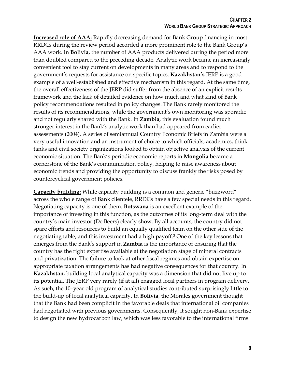**Increased role of AAA:** Rapidly decreasing demand for Bank Group financing in most RRDCs during the review period accorded a more prominent role to the Bank Group's AAA work. In **Bolivia**, the number of AAA products delivered during the period more than doubled compared to the preceding decade. Analytic work became an increasingly convenient tool to stay current on developments in many areas and to respond to the government's requests for assistance on specific topics. **Kazakhstan's** JERP is a good example of a well-established and effective mechanism in this regard. At the same time, the overall effectiveness of the JERP did suffer from the absence of an explicit results framework and the lack of detailed evidence on how much and what kind of Bank policy recommendations resulted in policy changes. The Bank rarely monitored the results of its recommendations, while the government's own monitoring was sporadic and not regularly shared with the Bank. In **Zambia**, this evaluation found much stronger interest in the Bank's analytic work than had appeared from earlier assessments **(**2004). A series of semiannual Country Economic Briefs in Zambia were a very useful innovation and an instrument of choice to which officials, academics, think tanks and civil society organizations looked to obtain objective analysis of the current economic situation. The Bank's periodic economic reports in **Mongolia** became a cornerstone of the Bank's communication policy, helping to raise awareness about economic trends and providing the opportunity to discuss frankly the risks posed by countercyclical government policies.

**Capacity building:** While capacity building is a common and generic "buzzword" across the whole range of Bank clientele, RRDCs have a few special needs in this regard. Negotiating capacity is one of them. **Botswana** is an excellent example of the importance of investing in this function, as the outcomes of its long-term deal with the country's main investor (De Beers) clearly show. By all accounts, the country did not spare efforts and resources to build an equally qualified team on the other side of the negotiating table, and this investment had a high payoff.<sup>3</sup> One of the key lessons that emerges from the Bank's support in **Zambia** is the importance of ensuring that the country has the right expertise available at the negotiation stage of mineral contracts and privatization. The failure to look at other fiscal regimes and obtain expertise on appropriate taxation arrangements has had negative consequences for that country. In **Kazakhstan**, building local analytical capacity was a dimension that did not live up to its potential. The JERP very rarely (if at all) engaged local partners in program delivery. As such, the 10–year old program of analytical studies contributed surprisingly little to the build-up of local analytical capacity. In **Bolivia**, the Morales government thought that the Bank had been complicit in the favorable deals that international oil companies had negotiated with previous governments. Consequently, it sought non-Bank expertise to design the new hydrocarbon law, which was less favorable to the international firms.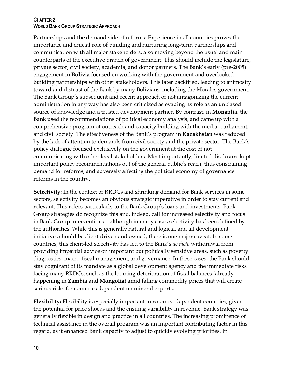### **CHAPTER 2 WORLD BANK GROUP STRATEGIC APPROACH**

Partnerships and the demand side of reforms: Experience in all countries proves the importance and crucial role of building and nurturing long-term partnerships and communication with all major stakeholders, also moving beyond the usual and main counterparts of the executive branch of government. This should include the legislature, private sector, civil society, academia, and donor partners. The Bank's early (pre-2005) engagement in **Bolivia** focused on working with the government and overlooked building partnerships with other stakeholders. This later backfired, leading to animosity toward and distrust of the Bank by many Bolivians, including the Morales government. The Bank Group's subsequent and recent approach of not antagonizing the current administration in any way has also been criticized as evading its role as an unbiased source of knowledge and a trusted development partner. By contrast, in **Mongolia**, the Bank used the recommendations of political economy analysis, and came up with a comprehensive program of outreach and capacity building with the media, parliament, and civil society. The effectiveness of the Bank's program in **Kazakhstan** was reduced by the lack of attention to demands from civil society and the private sector. The Bank's policy dialogue focused exclusively on the government at the cost of not communicating with other local stakeholders. Most importantly, limited disclosure kept important policy recommendations out of the general public's reach, thus constraining demand for reforms, and adversely affecting the political economy of governance reforms in the country.

**Selectivity:** In the context of RRDCs and shrinking demand for Bank services in some sectors, selectivity becomes an obvious strategic imperative in order to stay current and relevant. This refers particularly to the Bank Group's loans and investments. Bank Group strategies do recognize this and, indeed, call for increased selectivity and focus in Bank Group interventions—although in many cases selectivity has been defined by the authorities. While this is generally natural and logical, and all development initiatives should be client-driven and owned, there is one major caveat. In some countries, this client-led selectivity has led to the Bank's *de facto* withdrawal from providing impartial advice on important but politically sensitive areas, such as poverty diagnostics, macro-fiscal management, and governance. In these cases, the Bank should stay cognizant of its mandate as a global development agency and the immediate risks facing many RRDCs, such as the looming deterioration of fiscal balances (already happening in **Zambia** and **Mongolia**) amid falling commodity prices that will create serious risks for countries dependent on mineral exports.

**Flexibility:** Flexibility is especially important in resource-dependent countries, given the potential for price shocks and the ensuing variability in revenue. Bank strategy was generally flexible in design and practice in all countries. The increasing prominence of technical assistance in the overall program was an important contributing factor in this regard, as it enhanced Bank capacity to adjust to quickly evolving priorities. In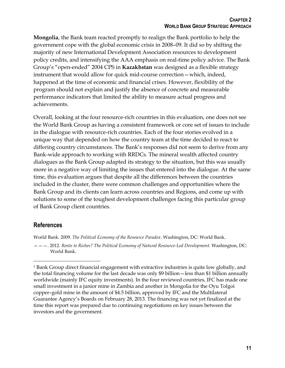**Mongolia**, the Bank team reacted promptly to realign the Bank portfolio to help the government cope with the global economic crisis in 2008–09. It did so by shifting the majority of new International Development Association resources to development policy credits, and intensifying the AAA emphasis on real-time policy advice. The Bank Group's "open-ended" 2004 CPS in **Kazakhstan** was designed as a flexible strategy instrument that would allow for quick mid-course correction—which, indeed, happened at the time of economic and financial crises. However, flexibility of the program should not explain and justify the absence of concrete and measurable performance indicators that limited the ability to measure actual progress and achievements.

Overall, looking at the four resource-rich countries in this evaluation, one does not see the World Bank Group as having a consistent framework or core set of issues to include in the dialogue with resource-rich countries. Each of the four stories evolved in a unique way that depended on how the country team at the time decided to react to differing country circumstances. The Bank's responses did not seem to derive from any Bank-wide approach to working with RRDCs. The mineral wealth affected country dialogues as the Bank Group adapted its strategy to the situation, but this was usually more in a negative way of limiting the issues that entered into the dialogue. At the same time, this evaluation argues that despite all the differences between the countries included in the cluster, there were common challenges and opportunities where the Bank Group and its clients can learn across countries and Regions, and come up with solutions to some of the toughest development challenges facing this particular group of Bank Group client countries.

### <span id="page-23-0"></span>**References**

 $\overline{a}$ 

World Bank. 2009. *The Political Economy of the Resource Paradox*. Washington, DC: World Bank.

———. 2012. *Rents to Riches? The Political Economy of Natural Resource-Led Development.* Washington, DC: World Bank.

<sup>1</sup> Bank Group direct financial engagement with extractive industries is quite low globally, and the total financing volume for the last decade was only \$9 billion—less than \$1 billion annually worldwide (mainly IFC equity investments). In the four reviewed countries, IFC has made one small investment in a junior mine in Zambia and another in Mongolia for the Oyu Tolgoi copper–gold mine in the amount of \$4.5 billion, approved by IFC and the Multilateral Guarantee Agency's Boards on February 28, 2013. The financing was not yet finalized at the time this report was prepared due to continuing negotiations on key issues between the investors and the government.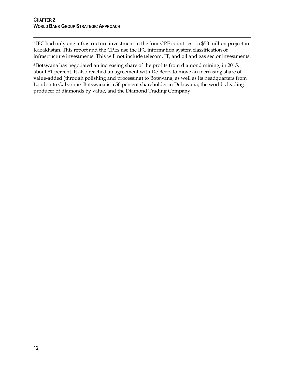$\overline{a}$ <sup>2</sup> IFC had only one infrastructure investment in the four CPE countries—a \$50 million project in Kazakhstan. This report and the CPEs use the IFC information system classification of infrastructure investments. This will not include telecom, IT, and oil and gas sector investments.

<sup>3</sup> Botswana has negotiated an increasing share of the profits from diamond mining, in 2015, about 81 percent. It also reached an agreement with De Beers to move an increasing share of value-added (through polishing and processing) to Botswana, as well as its headquarters from London to Gaborone. Botswana is a 50 percent shareholder in Debswana, the world's leading producer of diamonds by value, and the Diamond Trading Company.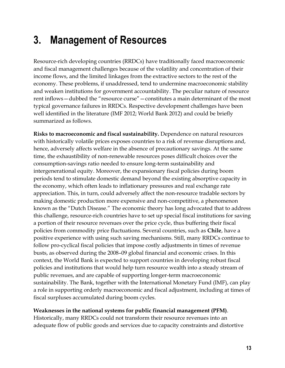# <span id="page-25-0"></span>**3. Management of Resources**

Resource-rich developing countries (RRDCs) have traditionally faced macroeconomic and fiscal management challenges because of the volatility and concentration of their income flows, and the limited linkages from the extractive sectors to the rest of the economy. These problems, if unaddressed, tend to undermine macroeconomic stability and weaken institutions for government accountability. The peculiar nature of resource rent inflows—dubbed the "resource curse"—constitutes a main determinant of the most typical governance failures in RRDCs. Respective development challenges have been well identified in the literature (IMF 2012; World Bank 2012) and could be briefly summarized as follows.

**Risks to macroeconomic and fiscal sustainability.** Dependence on natural resources with historically volatile prices exposes countries to a risk of revenue disruptions and, hence, adversely affects welfare in the absence of precautionary savings. At the same time, the exhaustibility of non-renewable resources poses difficult choices over the consumption-savings ratio needed to ensure long-term sustainability and intergenerational equity. Moreover, the expansionary fiscal policies during boom periods tend to stimulate domestic demand beyond the existing absorptive capacity in the economy, which often leads to inflationary pressures and real exchange rate appreciation. This, in turn, could adversely affect the non-resource tradable sectors by making domestic production more expensive and non-competitive, a phenomenon known as the "Dutch Disease." The economic theory has long advocated that to address this challenge, resource-rich countries have to set up special fiscal institutions for saving a portion of their resource revenues over the price cycle, thus buffering their fiscal policies from commodity price fluctuations. Several countries, such as **Chile**, have a positive experience with using such saving mechanisms. Still, many RRDCs continue to follow pro-cyclical fiscal policies that impose costly adjustments in times of revenue busts, as observed during the 2008–09 global financial and economic crises. In this context, the World Bank is expected to support countries in developing robust fiscal policies and institutions that would help turn resource wealth into a steady stream of public revenues, and are capable of supporting longer-term macroeconomic sustainability. The Bank, together with the International Monetary Fund (IMF), can play a role in supporting orderly macroeconomic and fiscal adjustment, including at times of fiscal surpluses accumulated during boom cycles.

### **Weaknesses in the national systems for public financial management (PFM)**.

Historically, many RRDCs could not transform their resource revenues into an adequate flow of public goods and services due to capacity constraints and distortive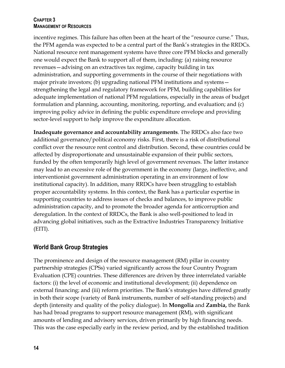### **CHAPTER 3 MANAGEMENT OF RESOURCES**

incentive regimes. This failure has often been at the heart of the "resource curse." Thus, the PFM agenda was expected to be a central part of the Bank's strategies in the RRDCs. National resource rent management systems have three core PFM blocks and generally one would expect the Bank to support all of them, including: (a) raising resource revenues—advising on an extractives tax regime, capacity building in tax administration, and supporting governments in the course of their negotiations with major private investors; (b) upgrading national PFM institutions and systems strengthening the legal and regulatory framework for PFM, building capabilities for adequate implementation of national PFM regulations, especially in the areas of budget formulation and planning, accounting, monitoring, reporting, and evaluation; and (c) improving policy advice in defining the public expenditure envelope and providing sector-level support to help improve the expenditure allocation.

**Inadequate governance and accountability arrangements**. The RRDCs also face two additional governance/political economy risks. First, there is a risk of distributional conflict over the resource rent control and distribution. Second, these countries could be affected by disproportionate and unsustainable expansion of their public sectors, funded by the often temporarily high level of government revenues. The latter instance may lead to an excessive role of the government in the economy (large, ineffective, and interventionist government administration operating in an environment of low institutional capacity). In addition, many RRDCs have been struggling to establish proper accountability systems. In this context, the Bank has a particular expertise in supporting countries to address issues of checks and balances, to improve public administration capacity, and to promote the broader agenda for anticorruption and deregulation. In the context of RRDCs, the Bank is also well-positioned to lead in advancing global initiatives, such as the Extractive Industries Transparency Initiative (EITI).

# <span id="page-26-0"></span>**World Bank Group Strategies**

The prominence and design of the resource management (RM) pillar in country partnership strategies (CPSs) varied significantly across the four Country Program Evaluation (CPE) countries. These differences are driven by three interrelated variable factors: (i) the level of economic and institutional development; (ii) dependence on external financing; and (iii) reform priorities. The Bank's strategies have differed greatly in both their scope (variety of Bank instruments, number of self-standing projects) and depth (intensity and quality of the policy dialogue). In **Mongolia** and **Zambia,** the Bank has had broad programs to support resource management (RM), with significant amounts of lending and advisory services, driven primarily by high financing needs. This was the case especially early in the review period, and by the established tradition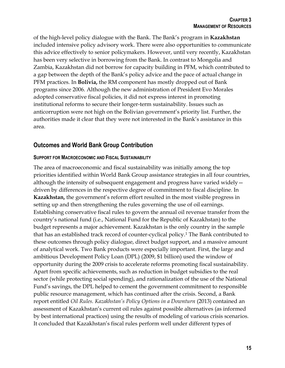of the high-level policy dialogue with the Bank. The Bank's program in **Kazakhstan** included intensive policy advisory work. There were also opportunities to communicate this advice effectively to senior policymakers. However, until very recently, Kazakhstan has been very selective in borrowing from the Bank. In contrast to Mongolia and Zambia, Kazakhstan did not borrow for capacity building in PFM, which contributed to a gap between the depth of the Bank's policy advice and the pace of actual change in PFM practices. In **Bolivia,** the RM component has mostly dropped out of Bank programs since 2006. Although the new administration of President Evo Morales adopted conservative fiscal policies, it did not express interest in promoting institutional reforms to secure their longer-term sustainability. Issues such as anticorruption were not high on the Bolivian government's priority list. Further, the authorities made it clear that they were not interested in the Bank's assistance in this area.

# <span id="page-27-0"></span>**Outcomes and World Bank Group Contribution**

### **SUPPORT FOR MACROECONOMIC AND FISCAL SUSTAINABILITY**

The area of macroeconomic and fiscal sustainability was initially among the top priorities identified within World Bank Group assistance strategies in all four countries, although the intensity of subsequent engagement and progress have varied widely driven by differences in the respective degree of commitment to fiscal discipline. In **Kazakhstan,** the government's reform effort resulted in the most visible progress in setting up and then strengthening the rules governing the use of oil earnings. Establishing conservative fiscal rules to govern the annual oil revenue transfer from the country's national fund (i.e., National Fund for the Republic of Kazakhstan) to the budget represents a major achievement. Kazakhstan is the only country in the sample that has an established track record of counter-cyclical policy.<sup>1</sup> The Bank contributed to these outcomes through policy dialogue, direct budget support, and a massive amount of analytical work. Two Bank products were especially important. First, the large and ambitious Development Policy Loan (DPL) (2009, \$1 billion) used the window of opportunity during the 2009 crisis to accelerate reforms promoting fiscal sustainability. Apart from specific achievements, such as reduction in budget subsidies to the real sector (while protecting social spending), and rationalization of the use of the National Fund's savings, the DPL helped to cement the government commitment to responsible public resource management, which has continued after the crisis. Second, a Bank report entitled *Oil Rules. Kazakhstan's Policy Options in a Downturn* (2013) contained an assessment of Kazakhstan's current oil rules against possible alternatives (as informed by best international practices) using the results of modeling of various crisis scenarios. It concluded that Kazakhstan's fiscal rules perform well under different types of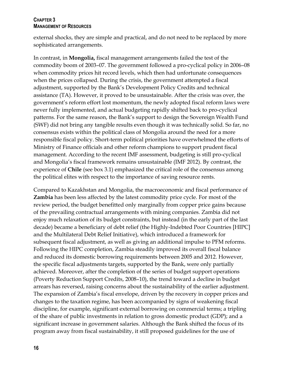#### **CHAPTER 3 MANAGEMENT OF RESOURCES**

external shocks, they are simple and practical, and do not need to be replaced by more sophisticated arrangements.

In contrast, in **Mongolia,** fiscal management arrangements failed the test of the commodity boom of 2003–07. The government followed a pro-cyclical policy in 2006–08 when commodity prices hit record levels, which then had unfortunate consequences when the prices collapsed. During the crisis, the government attempted a fiscal adjustment, supported by the Bank's Development Policy Credits and technical assistance (TA). However, it proved to be unsustainable. After the crisis was over, the government's reform effort lost momentum, the newly adopted fiscal reform laws were never fully implemented, and actual budgeting rapidly shifted back to pro-cyclical patterns. For the same reason, the Bank's support to design the Sovereign Wealth Fund (SWF) did not bring any tangible results even though it was technically solid. So far, no consensus exists within the political class of Mongolia around the need for a more responsible fiscal policy. Short-term political priorities have overwhelmed the efforts of Ministry of Finance officials and other reform champions to support prudent fiscal management. According to the recent IMF assessment, budgeting is still pro-cyclical and Mongolia's fiscal framework remains unsustainable (IMF 2012). By contrast, the experience of **Chile** (see box 3.1) emphasized the critical role of the consensus among the political elites with respect to the importance of saving resource rents.

Compared to Kazakhstan and Mongolia, the macroeconomic and fiscal performance of **Zambia** has been less affected by the latest commodity price cycle. For most of the review period, the budget benefitted only marginally from copper price gains because of the prevailing contractual arrangements with mining companies. Zambia did not enjoy much relaxation of its budget constraints, but instead (in the early part of the last decade) became a beneficiary of debt relief (the Highly-Indebted Poor Countries [HIPC] and the Multilateral Debt Relief Initiative), which introduced a framework for subsequent fiscal adjustment, as well as giving an additional impulse to PFM reforms. Following the HIPC completion, Zambia steadily improved its overall fiscal balance and reduced its domestic borrowing requirements between 2005 and 2012. However, the specific fiscal adjustments targets, supported by the Bank, were only partially achieved. Moreover, after the completion of the series of budget support operations (Poverty Reduction Support Credits, 2008–10), the trend toward a decline in budget arrears has reversed, raising concerns about the sustainability of the earlier adjustment. The expansion of Zambia's fiscal envelope, driven by the recovery in copper prices and changes to the taxation regime, has been accompanied by signs of weakening fiscal discipline, for example, significant external borrowing on commercial terms; a tripling of the share of public investments in relation to gross domestic product (GDP); and a significant increase in government salaries. Although the Bank shifted the focus of its program away from fiscal sustainability, it still proposed guidelines for the use of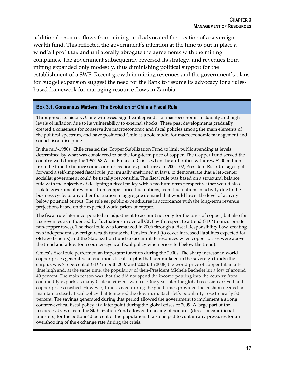additional resource flows from mining, and advocated the creation of a sovereign wealth fund. This reflected the government's intention at the time to put in place a windfall profit tax and unilaterally abrogate the agreements with the mining companies. The government subsequently reversed its strategy, and revenues from mining expanded only modestly, thus diminishing political support for the establishment of a SWF. Recent growth in mining revenues and the government's plans for budget expansion suggest the need for the Bank to resume its advocacy for a rulesbased framework for managing resource flows in Zambia.

#### <span id="page-29-0"></span>**Box 3.1. Consensus Matters: The Evolution of Chile's Fiscal Rule**

Throughout its history, Chile witnessed significant episodes of macroeconomic instability and high levels of inflation due to its vulnerability to external shocks. These past developments gradually created a consensus for conservative macroeconomic and fiscal policies among the main elements of the political spectrum, and have positioned Chile as a role model for macroeconomic management and sound fiscal discipline.

In the mid-1980s, Chile created the Copper Stabilization Fund to limit public spending at levels determined by what was considered to be the long-term price of copper. The Copper Fund served the country well during the 1997–98 Asian Financial Crisis, when the authorities withdrew \$200 million from the fund to finance some counter-cyclical expenditures. In 2001–02, President Ricardo Lagos put forward a self-imposed fiscal rule (not initially enshrined in law), to demonstrate that a left-center socialist government could be fiscally responsible. The fiscal rule was based on a structural balance rule with the objective of designing a fiscal policy with a medium-term perspective that would also isolate government revenues from copper price fluctuations, from fluctuations in activity due to the business cycle, or any other fluctuation in aggregate demand that would lower the level of activity below potential output. The rule set public expenditures in accordance with the long-term revenue projections based on the expected world prices of copper.

The fiscal rule later incorporated an adjustment to account not only for the price of copper, but also for tax revenues as influenced by fluctuations in overall GDP with respect to a trend GDP (to incorporate non-copper taxes). The fiscal rule was formalized in 2006 through a Fiscal Responsibility Law, creating two independent sovereign wealth funds: the Pension Fund (to cover increased liabilities expected for old-age benefits) and the Stabilization Fund (to accumulate resources when copper prices were above the trend and allow for a counter-cyclical fiscal policy when prices fell below the trend).

Chiles's fiscal rule performed an important function during the 2000s. The sharp increase in world copper prices generated an enormous fiscal surplus that accumulated in the sovereign funds (the surplus was 7.5 percent of GDP in both 2007 and 2008). In 2008, the world price of copper hit an alltime high and, at the same time, the popularity of then-President Michele Bachelet hit a low of around 40 percent. The main reason was that she did not spend the income pouring into the country from commodity exports as many Chilean citizens wanted. One year later the global recession arrived and copper prices crashed. However, funds saved during the good times provided the cushion needed to maintain a steady fiscal policy that tempered the downturn. Bachelet's popularity rose to nearly 80 percent. The savings generated during that period allowed the government to implement a strong counter-cyclical fiscal policy at a later point during the global crises of 2009. A large part of the resources drawn from the Stabilization Fund allowed financing of bonuses (direct unconditional transfers) for the bottom 40 percent of the population. It also helped to contain any pressures for an overshooting of the exchange rate during the crisis.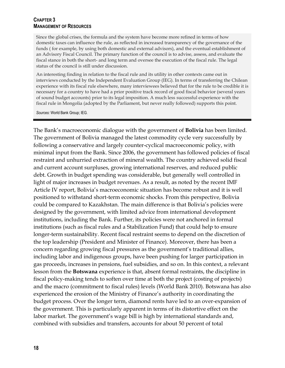#### **CHAPTER 3 MANAGEMENT OF RESOURCES**

Since the global crises, the formula and the system have become more refined in terms of how domestic taxes can influence the rule, as reflected in increased transparency of the governance of the funds ( for example, by using both domestic and external advisors), and the eventual establishment of an Advisory Fiscal Council. The primary function of the council is to advise, assess, and evaluate the fiscal stance in both the short- and long term and oversee the execution of the fiscal rule. The legal status of the council is still under discussion.

An interesting finding in relation to the fiscal rule and its utility in other contexts came out in interviews conducted by the Independent Evaluation Group (IEG). In terms of transferring the Chilean experience with its fiscal rule elsewhere, many interviewees believed that for the rule to be credible it is necessary for a country to have had a prior positive track record of good fiscal behavior (several years of sound budget accounts) prior to its legal imposition. A much less successful experience with the fiscal rule in Mongolia (adopted by the Parliament, but never really followed) supports this point.

*Sources:* World Bank Group; IEG.

The Bank's macroeconomic dialogue with the government of **Bolivia** has been limited. The government of Bolivia managed the latest commodity cycle very successfully by following a conservative and largely counter-cyclical macroeconomic policy, with minimal input from the Bank. Since 2006, the government has followed policies of fiscal restraint and unhurried extraction of mineral wealth. The country achieved solid fiscal and current account surpluses, growing international reserves, and reduced public debt. Growth in budget spending was considerable, but generally well controlled in light of major increases in budget revenues. As a result, as noted by the recent IMF Article IV report, Bolivia's macroeconomic situation has become robust and it is well positioned to withstand short-term economic shocks. From this perspective, Bolivia could be compared to Kazakhstan. The main difference is that Bolivia's policies were designed by the government, with limited advice from international development institutions, including the Bank. Further, its policies were not anchored in formal institutions (such as fiscal rules and a Stabilization Fund) that could help to ensure longer-term sustainability. Recent fiscal restraint seems to depend on the discretion of the top leadership (President and Minister of Finance). Moreover, there has been a concern regarding growing fiscal pressures as the government's traditional allies, including labor and indigenous groups, have been pushing for larger participation in gas proceeds, increases in pensions, fuel subsidies, and so on. In this context, a relevant lesson from the **Botswana** experience is that, absent formal restraints, the discipline in fiscal policy-making tends to soften over time at both the project (costing of projects) and the macro (commitment to fiscal rules) levels (World Bank 2010). Botswana has also experienced the erosion of the Ministry of Finance's authority in coordinating the budget process. Over the longer term, diamond rents have led to an over-expansion of the government. This is particularly apparent in terms of its distortive effect on the labor market. The government's wage bill is high by international standards and, combined with subsidies and transfers, accounts for about 50 percent of total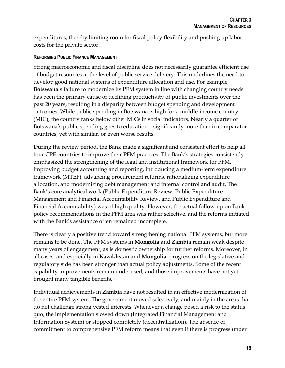expenditures, thereby limiting room for fiscal policy flexibility and pushing up labor costs for the private sector.

### **REFORMING PUBLIC FINANCE MANAGEMENT**

Strong macroeconomic and fiscal discipline does not necessarily guarantee efficient use of budget resources at the level of public service delivery. This underlines the need to develop good national systems of expenditure allocation and use. For example, **Botswana**'s failure to modernize its PFM system in line with changing country needs has been the primary cause of declining productivity of public investments over the past 20 years, resulting in a disparity between budget spending and development outcomes. While public spending in Botswana is high for a middle-income country (MIC), the country ranks below other MICs in social indicators. Nearly a quarter of Botswana's public spending goes to education—significantly more than in comparator countries, yet with similar, or even worse results.

During the review period, the Bank made a significant and consistent effort to help all four CPE countries to improve their PFM practices. The Bank's strategies consistently emphasized the strengthening of the legal and institutional framework for PFM, improving budget accounting and reporting, introducing a medium-term expenditure framework (MTEF), advancing procurement reforms, rationalizing expenditure allocation, and modernizing debt management and internal control and audit. The Bank's core analytical work (Public Expenditure Review, Public Expenditure Management and Financial Accountability Review, and Public Expenditure and Financial Accountability) was of high quality. However, the actual follow-up on Bank policy recommendations in the PFM area was rather selective, and the reforms initiated with the Bank's assistance often remained incomplete.

There is clearly a positive trend toward strengthening national PFM systems, but more remains to be done. The PFM systems in **Mongolia** and **Zambia** remain weak despite many years of engagement, as is domestic ownership for further reforms. Moreover, in all cases, and especially in **Kazakhstan** and **Mongolia**, progress on the legislative and regulatory side has been stronger than actual policy adjustments. Some of the recent capability improvements remain underused, and those improvements have not yet brought many tangible benefits.

Individual achievements in **Zambia** have not resulted in an effective modernization of the entire PFM system. The government moved selectively, and mainly in the areas that do not challenge strong vested interests. Whenever a change posed a risk to the status quo, the implementation slowed down (Integrated Financial Management and Information System) or stopped completely (decentralization). The absence of commitment to comprehensive PFM reform means that even if there is progress under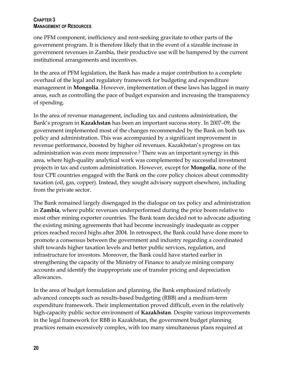### **CHAPTER 3 MANAGEMENT OF RESOURCES**

one PFM component, inefficiency and rent-seeking gravitate to other parts of the government program. It is therefore likely that in the event of a sizeable increase in government revenues in Zambia, their productive use will be hampered by the current institutional arrangements and incentives.

In the area of PFM legislation, the Bank has made a major contribution to a complete overhaul of the legal and regulatory framework for budgeting and expenditure management in **Mongolia**. However, implementation of these laws has lagged in many areas, such as controlling the pace of budget expansion and increasing the transparency of spending.

In the area of revenue management, including tax and customs administration, the Bank's program in **Kazakhstan** has been an important success story. In 2007–09, the government implemented most of the changes recommended by the Bank on both tax policy and administration. This was accompanied by a significant improvement in revenue performance, boosted by higher oil revenues. Kazakhstan's progress on tax administration was even more impressive.<sup>2</sup> There was an important synergy in this area, where high-quality analytical work was complemented by successful investment projects in tax and custom administration. However, except for **Mongolia**, none of the four CPE countries engaged with the Bank on the core policy choices about commodity taxation (oil, gas, copper). Instead, they sought advisory support elsewhere, including from the private sector.

The Bank remained largely disengaged in the dialogue on tax policy and administration in **Zambia**, where public revenues underperformed during the price boom relative to most other mining exporter countries. The Bank team decided not to advocate adjusting the existing mining agreements that had become increasingly inadequate as copper prices reached record highs after 2004. In retrospect, the Bank could have done more to promote a consensus between the government and industry regarding a coordinated shift towards higher taxation levels and better public services, regulation, and infrastructure for investors. Moreover, the Bank could have started earlier in strengthening the capacity of the Ministry of Finance to analyze mining company accounts and identify the inappropriate use of transfer pricing and depreciation allowances.

In the area of budget formulation and planning, the Bank emphasized relatively advanced concepts such as results-based budgeting (RBB) and a medium-term expenditure framework. Their implementation proved difficult, even in the relatively high-capacity public sector environment of **Kazakhstan**. Despite various improvements in the legal framework for RBB in Kazakhstan, the government budget planning practices remain excessively complex, with too many simultaneous plans required at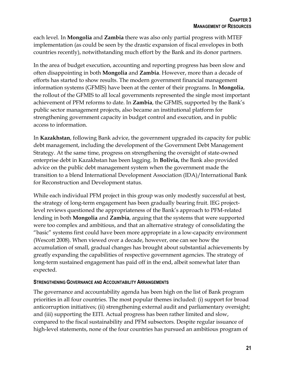each level. In **Mongolia** and **Zambia** there was also only partial progress with MTEF implementation (as could be seen by the drastic expansion of fiscal envelopes in both countries recently), notwithstanding much effort by the Bank and its donor partners.

In the area of budget execution, accounting and reporting progress has been slow and often disappointing in both **Mongolia** and **Zambia**. However, more than a decade of efforts has started to show results. The modern government financial management information systems (GFMIS) have been at the center of their programs. In **Mongolia**, the rollout of the GFMIS to all local governments represented the single most important achievement of PFM reforms to date. In **Zambia**, the GFMIS, supported by the Bank's public sector management projects, also became an institutional platform for strengthening government capacity in budget control and execution, and in public access to information.

In **Kazakhstan**, following Bank advice, the government upgraded its capacity for public debt management, including the development of the Government Debt Management Strategy. At the same time, progress on strengthening the oversight of state-owned enterprise debt in Kazakhstan has been lagging. In **Bolivia,** the Bank also provided advice on the public debt management system when the government made the transition to a blend International Development Association (IDA)/International Bank for Reconstruction and Development status.

While each individual PFM project in this group was only modestly successful at best, the strategy of long-term engagement has been gradually bearing fruit. IEG projectlevel reviews questioned the appropriateness of the Bank's approach to PFM-related lending in both **Mongolia** and **Zambia**, arguing that the systems that were supported were too complex and ambitious, and that an alternative strategy of consolidating the "basic" systems first could have been more appropriate in a low-capacity environment (Wescott 2008). When viewed over a decade, however, one can see how the accumulation of small, gradual changes has brought about substantial achievements by greatly expanding the capabilities of respective government agencies. The strategy of long-term sustained engagement has paid off in the end, albeit somewhat later than expected.

### **STRENGTHENING GOVERNANCE AND ACCOUNTABILITY ARRANGEMENTS**

The governance and accountability agenda has been high on the list of Bank program priorities in all four countries. The most popular themes included: (i) support for broad anticorruption initiatives; (ii) strengthening external audit and parliamentary oversight; and (iii) supporting the EITI. Actual progress has been rather limited and slow, compared to the fiscal sustainability and PFM subsectors. Despite regular issuance of high-level statements, none of the four countries has pursued an ambitious program of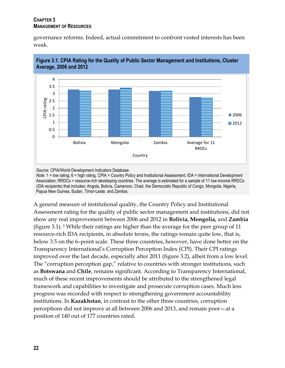### **CHAPTER 3 MANAGEMENT OF RESOURCES**

governance reforms. Indeed, actual commitment to confront vested interests has been weak.



<span id="page-34-0"></span>

*Source:* CPIA/World Development Indicators Database.

*Note:* 1 = low rating; 6 = high rating. CPIA = Country Policy and Institutional Assessment; IDA = International Development Association; RRDCs = resource-rich developing countries. The average is estimated for a sample of 11 low-income RRDCs (IDA recipients) that includes: Angola, Bolivia, Cameroon, Chad, the Democratic Republic of Congo, Mongolia, Nigeria, Papua New Guinea, Sudan, Timor-Leste, and Zambia.

A general measure of institutional quality, the Country Policy and Institutional Assessment rating for the quality of public sector management and institutions, did not show any real improvement between 2006 and 2012 in **Bolivia, Mongolia,** and **Zambia** (figure 3.1). <sup>3</sup> While their ratings are higher than the average for the peer group of 11 resource-rich IDA recipients, in absolute terms, the ratings remain quite low, that is, below 3.5 on the 6–point scale. These three countries, however, have done better on the Transparency International's Corruption Perception Index (CPI). Their CPI ratings improved over the last decade, especially after 2011 (figure 3.2), albeit from a low level. The "corruption perception gap," relative to countries with stronger institutions, such as **Botswana** and **Chile**, remains significant. According to Transparency International, much of these recent improvements should be attributed to the strengthened legal framework and capabilities to investigate and prosecute corruption cases. Much less progress was recorded with respect to strengthening government accountability institutions. In **Kazakhstan**, in contrast to the other three countries, corruption perceptions did not improve at all between 2006 and 2013, and remain poor—at a position of 140 out of 177 countries rated.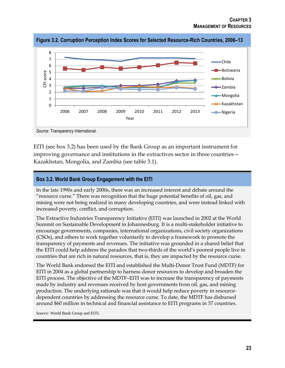

<span id="page-35-1"></span>**Figure 3.2. Corruption Perception Index Scores for Selected Resource-Rich Countries, 2006–13**

*Source:* Transparency International.

EITI (see box 3.2) has been used by the Bank Group as an important instrument for improving governance and institutions in the extractives sector in three countries— Kazakhstan, Mongolia, and Zambia (see table 3.1).

### <span id="page-35-0"></span>**Box 3.2. World Bank Group Engagement with the EITI**

In the late 1990s and early 2000s, there was an increased interest and debate around the "resource curse." There was recognition that the huge potential benefits of oil, gas, and mining were not being realized in many developing countries, and were instead linked with increased poverty, conflict, and corruption.

The Extractive Industries Transparency Initiative (EITI) was launched in 2002 at the World Summit on Sustainable Development in Johannesburg. It is a multi-stakeholder initiative to encourage governments, companies, international organizations, civil society organizations (CSOs), and others to work together voluntarily to develop a framework to promote the transparency of payments and revenues. The initiative was grounded in a shared belief that the EITI could help address the paradox that two-thirds of the world's poorest people live in countries that are rich in natural resources, that is, they are impacted by the resource curse.

The World Bank endorsed the EITI and established the Multi-Donor Trust Fund (MDTF) for EITI in 2004 as a global partnership to harness donor resources to develop and broaden the EITI process. The objective of the MDTF–EITI was to increase the transparency of payments made by industry and revenues received by host governments from oil, gas, and mining production. The underlying rationale was that it would help reduce poverty in resourcedependent countries by addressing the resource curse. To date, the MDTF has disbursed around \$60 million in technical and financial assistance to EITI programs in 37 countries.

*Source:* World Bank Group and EITI.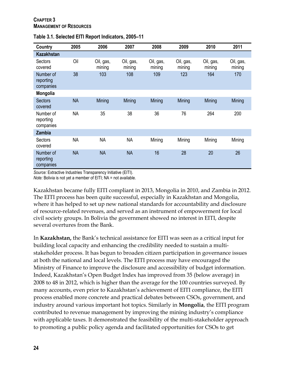| Country                             | 2005      | 2006                | 2007                | 2008                | 2009                | 2010                | 2011                |
|-------------------------------------|-----------|---------------------|---------------------|---------------------|---------------------|---------------------|---------------------|
| <b>Kazakhstan</b>                   |           |                     |                     |                     |                     |                     |                     |
| Sectors<br>covered                  | Oil       | Oil, gas,<br>mining | Oil, gas,<br>mining | Oil, gas,<br>mining | Oil, gas,<br>mining | Oil, gas,<br>mining | Oil, gas,<br>mining |
| Number of<br>reporting<br>companies | 38        | 103                 | 108                 | 109                 | 123                 | 164                 | 170                 |
| <b>Mongolia</b>                     |           |                     |                     |                     |                     |                     |                     |
| <b>Sectors</b><br>covered           | <b>NA</b> | Mining              | Mining              | Mining              | Mining              | Mining              | Mining              |
| Number of<br>reporting<br>companies | <b>NA</b> | 35                  | 38                  | 36                  | 76                  | 264                 | 200                 |
| <b>Zambia</b>                       |           |                     |                     |                     |                     |                     |                     |
| Sectors<br>covered                  | <b>NA</b> | <b>NA</b>           | <b>NA</b>           | Mining              | Mining              | Mining              | Mining              |
| Number of<br>reporting<br>companies | <b>NA</b> | <b>NA</b>           | <b>NA</b>           | 16                  | 28                  | 20                  | 26                  |

<span id="page-36-0"></span>

*Source:* Extractive Industries Transparency Initiative (EITI).

*Note:* Bolivia is not yet a member of EITI; NA = not available.

Kazakhstan became fully EITI compliant in 2013, Mongolia in 2010, and Zambia in 2012. The EITI process has been quite successful, especially in Kazakhstan and Mongolia, where it has helped to set up new national standards for accountability and disclosure of resource-related revenues, and served as an instrument of empowerment for local civil society groups. In Bolivia the government showed no interest in EITI, despite several overtures from the Bank.

In **Kazakhstan,** the Bank's technical assistance for EITI was seen as a critical input for building local capacity and enhancing the credibility needed to sustain a multistakeholder process. It has begun to broaden citizen participation in governance issues at both the national and local levels. The EITI process may have encouraged the Ministry of Finance to improve the disclosure and accessibility of budget information. Indeed, Kazakhstan's Open Budget Index has improved from 35 (below average) in 2008 to 48 in 2012, which is higher than the average for the 100 countries surveyed. By many accounts, even prior to Kazakhstan's achievement of EITI compliance, the EITI process enabled more concrete and practical debates between CSOs, government, and industry around various important hot topics. Similarly in **Mongolia**, the EITI program contributed to revenue management by improving the mining industry's compliance with applicable taxes. It demonstrated the feasibility of the multi-stakeholder approach to promoting a public policy agenda and facilitated opportunities for CSOs to get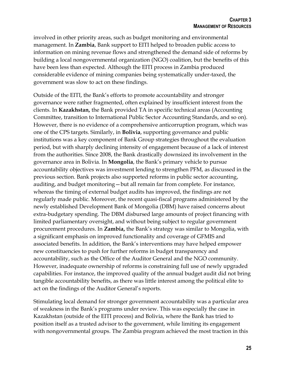involved in other priority areas, such as budget monitoring and environmental management. In **Zambia**, Bank support to EITI helped to broaden public access to information on mining revenue flows and strengthened the demand side of reforms by building a local nongovernmental organization (NGO) coalition, but the benefits of this have been less than expected. Although the EITI process in Zambia produced considerable evidence of mining companies being systematically under-taxed, the government was slow to act on these findings.

Outside of the EITI, the Bank's efforts to promote accountability and stronger governance were rather fragmented, often explained by insufficient interest from the clients. In **Kazakhstan,** the Bank provided TA in specific technical areas (Accounting Committee, transition to International Public Sector Accounting Standards, and so on). However, there is no evidence of a comprehensive anticorruption program, which was one of the CPS targets. Similarly, in **Bolivia**, supporting governance and public institutions was a key component of Bank Group strategies throughout the evaluation period, but with sharply declining intensity of engagement because of a lack of interest from the authorities. Since 2008, the Bank drastically downsized its involvement in the governance area in Bolivia. In **Mongolia**, the Bank's primary vehicle to pursue accountability objectives was investment lending to strengthen PFM, as discussed in the previous section. Bank projects also supported reforms in public sector accounting, auditing, and budget monitoring—but all remain far from complete. For instance, whereas the timing of external budget audits has improved, the findings are not regularly made public. Moreover, the recent quasi-fiscal programs administered by the newly established Development Bank of Mongolia (DBM) have raised concerns about extra-budgetary spending. The DBM disbursed large amounts of project financing with limited parliamentary oversight, and without being subject to regular government procurement procedures. In **Zambia,** the Bank's strategy was similar to Mongolia, with a significant emphasis on improved functionality and coverage of GFMIS and associated benefits. In addition, the Bank's interventions may have helped empower new constituencies to push for further reforms in budget transparency and accountability, such as the Office of the Auditor General and the NGO community. However, inadequate ownership of reforms is constraining full use of newly upgraded capabilities. For instance, the improved quality of the annual budget audit did not bring tangible accountability benefits, as there was little interest among the political elite to act on the findings of the Auditor General's reports.

Stimulating local demand for stronger government accountability was a particular area of weakness in the Bank's programs under review. This was especially the case in Kazakhstan (outside of the EITI process) and Bolivia, where the Bank has tried to position itself as a trusted advisor to the government, while limiting its engagement with nongovernmental groups. The Zambia program achieved the most traction in this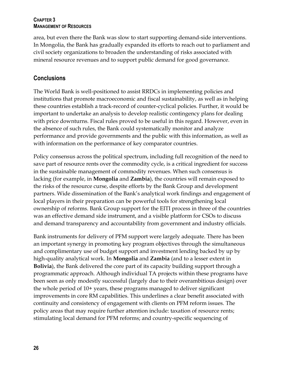### **CHAPTER 3 MANAGEMENT OF RESOURCES**

area, but even there the Bank was slow to start supporting demand-side interventions. In Mongolia, the Bank has gradually expanded its efforts to reach out to parliament and civil society organizations to broaden the understanding of risks associated with mineral resource revenues and to support public demand for good governance.

### <span id="page-38-0"></span>**Conclusions**

The World Bank is well-positioned to assist RRDCs in implementing policies and institutions that promote macroeconomic and fiscal sustainability, as well as in helping these countries establish a track-record of counter-cyclical policies. Further, it would be important to undertake an analysis to develop realistic contingency plans for dealing with price downturns. Fiscal rules proved to be useful in this regard. However, even in the absence of such rules, the Bank could systematically monitor and analyze performance and provide governments and the public with this information, as well as with information on the performance of key comparator countries.

Policy consensus across the political spectrum, including full recognition of the need to save part of resource rents over the commodity cycle, is a critical ingredient for success in the sustainable management of commodity revenues. When such consensus is lacking (for example, in **Mongolia** and **Zambia**), the countries will remain exposed to the risks of the resource curse, despite efforts by the Bank Group and development partners. Wide dissemination of the Bank's analytical work findings and engagement of local players in their preparation can be powerful tools for strengthening local ownership of reforms. Bank Group support for the EITI process in three of the countries was an effective demand side instrument, and a visible platform for CSOs to discuss and demand transparency and accountability from government and industry officials.

Bank instruments for delivery of PFM support were largely adequate. There has been an important synergy in promoting key program objectives through the simultaneous and complimentary use of budget support and investment lending backed by up by high-quality analytical work. In **Mongolia** and **Zambia** (and to a lesser extent in **Bolivia**), the Bank delivered the core part of its capacity building support through a programmatic approach. Although individual TA projects within these programs have been seen as only modestly successful (largely due to their overambitious design) over the whole period of 10+ years, these programs managed to deliver significant improvements in core RM capabilities. This underlines a clear benefit associated with continuity and consistency of engagement with clients on PFM reform issues. The policy areas that may require further attention include: taxation of resource rents; stimulating local demand for PFM reforms; and country-specific sequencing of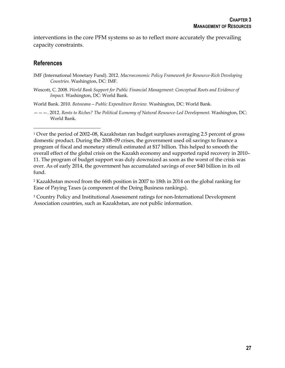interventions in the core PFM systems so as to reflect more accurately the prevailing capacity constraints.

### <span id="page-39-0"></span>**References**

 $\overline{a}$ 

- Wescott, C. 2008. *World Bank Support for Public Financial Management: Conceptual Roots and Evidence of Impact.* Washington, DC: World Bank.
- World Bank. 2010. *Botswana—Public Expenditure Review.* Washington, DC: World Bank.
- ———. 2012. *Rents to Riches? The Political Economy of Natural Resource-Led Development.* Washington, DC: World Bank.

<sup>2</sup> Kazakhstan moved from the 66th position in 2007 to 18th in 2014 on the global ranking for Ease of Paying Taxes (a component of the Doing Business rankings).

<sup>3</sup> Country Policy and Institutional Assessment ratings for non-International Development Association countries, such as Kazakhstan, are not public information.

IMF (International Monetary Fund). 2012*. Macroeconomic Policy Framework for Resource-Rich Developing Countries.* Washington, DC: IMF.

<sup>1</sup> Over the period of 2002–08, Kazakhstan ran budget surpluses averaging 2.5 percent of gross domestic product. During the 2008–09 crises, the government used oil savings to finance a program of fiscal and monetary stimuli estimated at \$17 billion. This helped to smooth the overall effect of the global crisis on the Kazakh economy and supported rapid recovery in 2010– 11. The program of budget support was duly downsized as soon as the worst of the crisis was over. As of early 2014, the government has accumulated savings of over \$40 billion in its oil fund.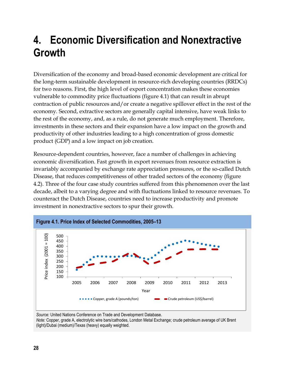# <span id="page-40-0"></span>**4. Economic Diversification and Nonextractive Growth**

Diversification of the economy and broad-based economic development are critical for the long-term sustainable development in resource-rich developing countries (RRDCs) for two reasons. First, the high level of export concentration makes these economies vulnerable to commodity price fluctuations (figure 4.1) that can result in abrupt contraction of public resources and/or create a negative spillover effect in the rest of the economy. Second, extractive sectors are generally capital intensive, have weak links to the rest of the economy, and, as a rule, do not generate much employment. Therefore, investments in these sectors and their expansion have a low impact on the growth and productivity of other industries leading to a high concentration of gross domestic product (GDP) and a low impact on job creation.

Resource-dependent countries, however, face a number of challenges in achieving economic diversification. Fast growth in export revenues from resource extraction is invariably accompanied by exchange rate appreciation pressures, or the so-called Dutch Disease, that reduces competitiveness of other traded sectors of the economy (figure 4.2). Three of the four case study countries suffered from this phenomenon over the last decade, albeit to a varying degree and with fluctuations linked to resource revenues. To counteract the Dutch Disease, countries need to increase productivity and promote investment in nonextractive sectors to spur their growth.

<span id="page-40-1"></span>

*Source:* United Nations Conference on Trade and Development Database. *Note:* Copper, grade A, electrolytic wire bars/cathodes, London Metal Exchange; crude petroleum average of UK Brent (light)/Dubai (medium)/Texas (heavy) equally weighted.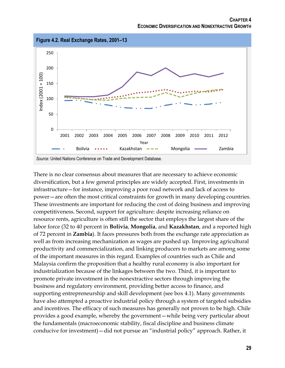<span id="page-41-0"></span>

There is no clear consensus about measures that are necessary to achieve economic diversification, but a few general principles are widely accepted. First, investments in infrastructure—for instance, improving a poor road network and lack of access to power—are often the most critical constraints for growth in many developing countries. These investments are important for reducing the cost of doing business and improving competitiveness. Second, support for agriculture: despite increasing reliance on resource rents, agriculture is often still the sector that employs the largest share of the labor force (32 to 40 percent in **Bolivia**, **Mongolia**, and **Kazakhstan**, and a reported high of 72 percent in **Zambia**). It faces pressures both from the exchange rate appreciation as well as from increasing mechanization as wages are pushed up. Improving agricultural productivity and commercialization, and linking producers to markets are among some of the important measures in this regard. Examples of countries such as Chile and Malaysia confirm the proposition that a healthy rural economy is also important for industrialization because of the linkages between the two. Third, it is important to promote private investment in the nonextractive sectors through improving the business and regulatory environment, providing better access to finance, and supporting entrepreneurship and skill development (see box 4.1). Many governments have also attempted a proactive industrial policy through a system of targeted subsidies and incentives. The efficacy of such measures has generally not proven to be high. Chile provides a good example, whereby the government—while being very particular about the fundamentals (macroeconomic stability, fiscal discipline and business climate conducive for investment)—did not pursue an "industrial policy" approach. Rather, it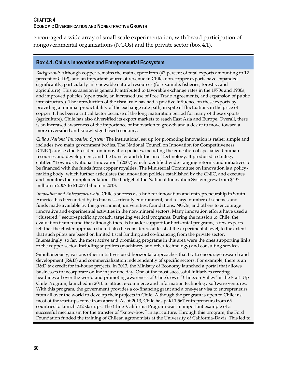#### **CHAPTER 4 ECONOMIC DIVERSIFICATION AND NONEXTRACTIVE GROWTH**

encouraged a wide array of small-scale experimentation, with broad participation of nongovernmental organizations (NGOs) and the private sector (box 4.1).

#### <span id="page-42-0"></span>**Box 4.1. Chile's Innovation and Entrepreneurial Ecosystem**

*Background:* Although copper remains the main export item (47 percent of total exports amounting to 12 percent of GDP), and an important source of revenue in Chile, non-copper exports have expanded significantly, particularly in renewable natural resources (for example, fisheries, forestry, and agriculture). This expansion is generally attributed to favorable exchange rates in the 1970s and 1980s, and improved policies (open trade, an increased use of Free Trade Agreements, and expansion of public infrastructure). The introduction of the fiscal rule has had a positive influence on these exports by providing a minimal predictability of the exchange rate path, in spite of fluctuations in the price of copper. It has been a critical factor because of the long maturation period for many of these exports (agriculture). Chile has also diversified its export markets to reach East Asia and Europe. Overall, there is an increased awareness of the importance of innovation to growth and a desire to move toward a more diversified and knowledge-based economy.

*Chile's National Innovation System:* The institutional set up for promoting innovation is rather simple and includes two main government bodies. The National Council on Innovation for Competitiveness (CNIC) advises the President on innovation policies, including the education of specialized human resources and development, and the transfer and diffusion of technology. It produced a strategy entitled "Towards National Innovation" (2007) which identified wide–ranging reforms and initiatives to be financed with the funds from copper royalties. The Ministerial Committee on Innovation is a policymaking body, which further articulates the innovation policies established by the CNIC, and executes and monitors their implementation. The budget of the National Innovation System grew from \$437 million in 2007 to \$1.037 billion in 2013.

*Innovation and Entrepreneurship:* Chile's success as a hub for innovation and entrepreneurship in South America has been aided by its business-friendly environment, and a large number of schemes and funds made available by the government, universities, foundations, NGOs, and others to encourage innovative and experimental activities in the non-mineral sectors. Many innovation efforts have used a "clustered," sector-specific approach, targeting vertical programs. During the mission to Chile, the evaluation team found that although there is broader support for horizontal programs, a few experts felt that the cluster approach should also be considered, at least at the experimental level, to the extent that such pilots are based on limited fiscal funding and co-financing from the private sector. Interestingly, so far, the most active and promising programs in this area were the ones supporting links to the copper sector, including suppliers (machinery and other technology) and consulting services.

Simultaneously, various other initiatives used horizontal approaches that try to encourage research and development (R&D) and commercialization independently of specific sectors. For example, there is an R&D tax credit for in-house projects. In 2013, the Ministry of Economy launched a portal that allows businesses to incorporate online in just one day. One of the most successful initiatives creating headlines all over the world and promoting awareness of Chile's own "Chilecon Valley" is the Start-Up Chile Program, launched in 2010 to attract e-commerce and information technology software ventures. With this program, the government provides a co-financing grant and a one-year visa to entrepreneurs from all over the world to develop their projects in Chile. Although the program is open to Chileans, most of the start-ups come from abroad. As of 2013, Chile has paid 1,567 entrepreneurs from 65 countries to launch 732 startups. The Chile–California Program was an important example of a successful mechanism for the transfer of "know-how" in agriculture. Through this program, the Ford Foundation funded the training of Chilean agronomists at the University of California-Davis. This led to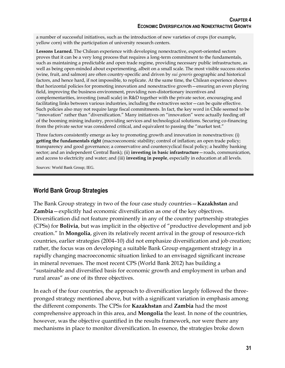a number of successful initiatives, such as the introduction of new varieties of crops (for example, yellow corn) with the participation of university research centers.

**Lessons Learned.** The Chilean experience with developing nonextractive, export-oriented sectors proves that it can be a very long process that requires a long-term commitment to the fundamentals, such as maintaining a predictable and open trade regime, providing necessary public infrastructure, as well as being open-minded about experimenting, albeit on a small scale. The most visible success stories (wine, fruit, and salmon) are often country-specific and driven by *sui generis* geographic and historical factors, and hence hard, if not impossible, to replicate. At the same time, the Chilean experience shows that horizontal policies for promoting innovation and nonextractive growth—ensuring an even playing field, improving the business environment, providing non-distortionary incentives and complementarities, investing (small scale) in R&D together with the private sector, encouraging and facilitating links between various industries, including the extractives sector—can be quite effective. Such policies also may not require large fiscal commitments. In fact, the key word in Chile seemed to be "innovation" rather than "diversification." Many initiatives on "innovation" were actually feeding off of the booming mining industry, providing services and technological solutions. Securing co-financing from the private sector was considered critical, and equivalent to passing the "market test."

Three factors consistently emerge as key to promoting growth and innovation in nonextractives: (i) **getting the fundamentals right** (macroeconomic stability; control of inflation; an open trade policy; transparency and good governance; a conservative and countercyclical fiscal policy; a healthy banking sector; and an independent Central Bank); (ii) **investing in basic infrastructure**—roads, communication, and access to electricity and water; and (iii) **investing in people**, especially in education at all levels.

<span id="page-43-0"></span>*Sources:* World Bank Group; IEG.

### **World Bank Group Strategies**

The Bank Group strategy in two of the four case study countries—**Kazakhstan** and **Zambia**—explicitly had economic diversification as one of the key objectives. Diversification did not feature prominently in any of the country partnership strategies (CPSs) for **Bolivia**, but was implicit in the objective of "productive development and job creation." In **Mongolia**, given its relatively recent arrival in the group of resource-rich countries, earlier strategies (2004–10) did not emphasize diversification and job creation; rather, the focus was on developing a suitable Bank Group engagement strategy in a rapidly changing macroeconomic situation linked to an envisaged significant increase in mineral revenues. The most recent CPS (World Bank 2012) has building a "sustainable and diversified basis for economic growth and employment in urban and rural areas" as one of its three objectives.

In each of the four countries, the approach to diversification largely followed the threepronged strategy mentioned above, but with a significant variation in emphasis among the different components. The CPSs for **Kazakhstan** and **Zambia** had the most comprehensive approach in this area, and **Mongolia** the least. In none of the countries, however, was the objective quantified in the results framework, nor were there any mechanisms in place to monitor diversification. In essence, the strategies broke down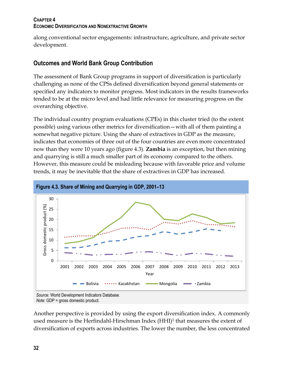### **CHAPTER 4 ECONOMIC DIVERSIFICATION AND NONEXTRACTIVE GROWTH**

along conventional sector engagements: infrastructure, agriculture, and private sector development.

# <span id="page-44-0"></span>**Outcomes and World Bank Group Contribution**

The assessment of Bank Group programs in support of diversification is particularly challenging as none of the CPSs defined diversification beyond general statements or specified any indicators to monitor progress. Most indicators in the results frameworks tended to be at the micro level and had little relevance for measuring progress on the overarching objective.

The individual country program evaluations (CPEs) in this cluster tried (to the extent possible) using various other metrics for diversification—with all of them painting a somewhat negative picture. Using the share of extractives in GDP as the measure, indicates that economies of three out of the four countries are even more concentrated now than they were 10 years ago (figure 4.3). **Zambia** is an exception, but then mining and quarrying is still a much smaller part of its economy compared to the others. However, this measure could be misleading because with favorable price and volume trends, it may be inevitable that the share of extractives in GDP has increased.

<span id="page-44-1"></span>

Another perspective is provided by using the export diversification index. A commonly used measure is the Herfindahl-Hirschman Index (HHI)<sup>1</sup> that measures the extent of diversification of exports across industries. The lower the number, the less concentrated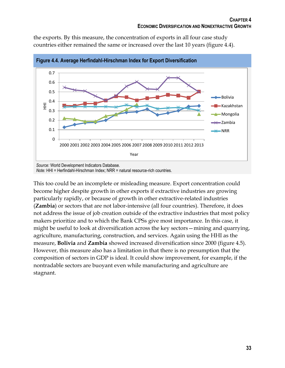the exports. By this measure, the concentration of exports in all four case study countries either remained the same or increased over the last 10 years (figure 4.4).

<span id="page-45-0"></span>

*Source:* World Development Indicators Database.

*Note:* HHI = Herfindahl-Hirschman Index; NRR = natural resource-rich countries.

This too could be an incomplete or misleading measure. Export concentration could become higher despite growth in other exports if extractive industries are growing particularly rapidly, or because of growth in other extractive-related industries (**Zambia**) or sectors that are not labor-intensive (all four countries). Therefore, it does not address the issue of job creation outside of the extractive industries that most policy makers prioritize and to which the Bank CPSs give most importance. In this case, it might be useful to look at diversification across the key sectors—mining and quarrying, agriculture, manufacturing, construction, and services. Again using the HHI as the measure, **Bolivia** and **Zambia** showed increased diversification since 2000 (figure 4.5). However, this measure also has a limitation in that there is no presumption that the composition of sectors in GDP is ideal. It could show improvement, for example, if the nontradable sectors are buoyant even while manufacturing and agriculture are stagnant.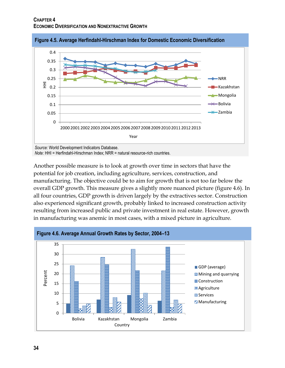

<span id="page-46-0"></span>**Figure 4.5. Average Herfindahl-Hirschman Index for Domestic Economic Diversification**

*Note:* HHI = Herfindahl-Hirschman Index; NRR = natural resource-rich countries.

Another possible measure is to look at growth over time in sectors that have the potential for job creation, including agriculture, services, construction, and manufacturing. The objective could be to aim for growth that is not too far below the overall GDP growth. This measure gives a slightly more nuanced picture (figure 4.6). In all four countries, GDP growth is driven largely by the extractives sector. Construction also experienced significant growth, probably linked to increased construction activity resulting from increased public and private investment in real estate. However, growth in manufacturing was anemic in most cases, with a mixed picture in agriculture.

<span id="page-46-1"></span>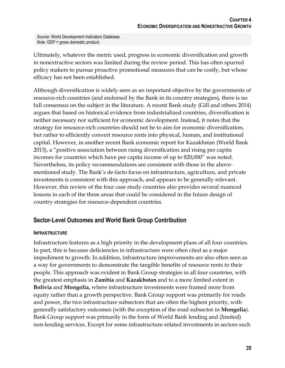*Source:* World Development Indicators Database. *Note:* GDP = gross domestic product.

Ultimately, whatever the metric used, progress in economic diversification and growth in nonextractive sectors was limited during the review period. This has often spurred policy makers to pursue proactive promotional measures that can be costly, but whose efficacy has not been established.

Although diversification is widely seen as an important objective by the governments of resource-rich countries (and endorsed by the Bank in its country strategies), there is no full consensus on the subject in the literature. A recent Bank study (Gill and others 2014) argues that based on historical evidence from industrialized countries, diversification is neither necessary nor sufficient for economic development. Instead, it notes that the strategy for resource-rich countries should not be to aim for economic diversification, but rather to efficiently convert resource rents into physical, human, and institutional capital. However, in another recent Bank economic report for Kazakhstan (World Bank 2013), a "positive association between rising diversification and rising per capita incomes for countries which have per capita income of up to \$20,000" was noted. Nevertheless, its policy recommendations are consistent with those in the abovementioned study. The Bank's de-facto focus on infrastructure, agriculture, and private investments is consistent with this approach, and appears to be generally relevant. However, this review of the four case study countries also provides several nuanced lessons in each of the three areas that could be considered in the future design of country strategies for resource-dependent countries.

# <span id="page-47-0"></span>**Sector-Level Outcomes and World Bank Group Contribution**

### **INFRASTRUCTURE**

Infrastructure features as a high priority in the development plans of all four countries. In part, this is because deficiencies in infrastructure were often cited as a major impediment to growth. In addition, infrastructure improvements are also often seen as a way for governments to demonstrate the tangible benefits of resource rents to their people. This approach was evident in Bank Group strategies in all four countries, with the greatest emphasis in **Zambia** and **Kazakhstan** and to a more limited extent in **Bolivia** and **Mongolia,** where infrastructure investments were framed more from equity rather than a growth perspective. Bank Group support was primarily for roads and power, the two infrastructure subsectors that are often the highest priority, with generally satisfactory outcomes (with the exception of the road subsector in **Mongolia**). Bank Group support was primarily in the form of World Bank lending and (limited) non-lending services. Except for some infrastructure-related investments in sectors such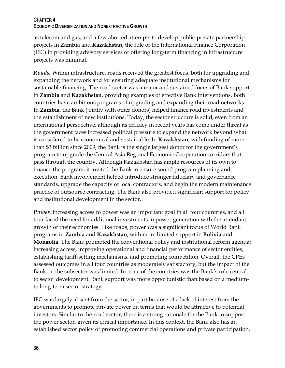### **CHAPTER 4 ECONOMIC DIVERSIFICATION AND NONEXTRACTIVE GROWTH**

as telecom and gas, and a few aborted attempts to develop public-private partnership projects in **Zambia** and **Kazakhstan,** the role of the International Finance Corporation (IFC) in providing advisory services or offering long-term financing in infrastructure projects was minimal.

*Roads.* Within infrastructure, roads received the greatest focus, both for upgrading and expanding the network and for ensuring adequate institutional mechanisms for sustainable financing. The road sector was a major and sustained focus of Bank support in **Zambia** and **Kazakhstan**, providing examples of effective Bank interventions. Both countries have ambitious programs of upgrading and expanding their road networks. In **Zambia**, the Bank (jointly with other donors) helped finance road investments and the establishment of new institutions. Today, the sector structure is solid, even from an international perspective, although its efficacy in recent years has come under threat as the government faces increased political pressure to expand the network beyond what is considered to be economical and sustainable. In **Kazakhstan**, with funding of more than \$3 billion since 2009, the Bank is the single largest donor for the government's program to upgrade the Central Asia Regional Economic Cooperation corridors that pass through the country. Although Kazakhstan has ample resources of its own to finance the program, it invited the Bank to ensure sound program planning and execution. Bank involvement helped introduce stronger fiduciary and governance standards, upgrade the capacity of local contractors, and begin the modern maintenance practice of outsource contracting. The Bank also provided significant support for policy and institutional development in the sector.

*Power.* Increasing access to power was an important goal in all four countries, and all four faced the need for additional investments in power generation with the attendant growth of their economies. Like roads, power was a significant focus of World Bank programs in **Zambia** and **Kazakhstan**, with more limited support in **Bolivia** and **Mongolia**. The Bank promoted the conventional policy and institutional reform agenda: increasing access, improving operational and financial performance of sector entities, establishing tariff-setting mechanisms, and promoting competition. Overall, the CPEs assessed outcomes in all four countries as moderately satisfactory, but the impact of the Bank on the subsector was limited. In none of the countries was the Bank's role central to sector development. Bank support was more opportunistic than based on a mediumto long-term sector strategy.

IFC was largely absent from the sector, in part because of a lack of interest from the governments to promote private power on terms that would be attractive to potential investors. Similar to the road sector, there is a strong rationale for the Bank to support the power sector, given its critical importance. In this context, the Bank also has an established sector policy of promoting commercial operations and private participation.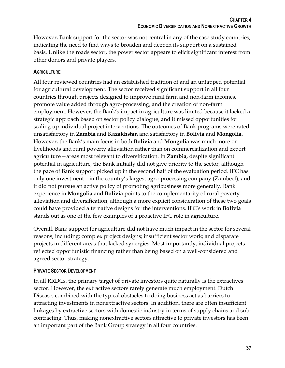However, Bank support for the sector was not central in any of the case study countries, indicating the need to find ways to broaden and deepen its support on a sustained basis. Unlike the roads sector, the power sector appears to elicit significant interest from other donors and private players.

### **AGRICULTURE**

All four reviewed countries had an established tradition of and an untapped potential for agricultural development. The sector received significant support in all four countries through projects designed to improve rural farm and non-farm incomes, promote value added through agro-processing, and the creation of non-farm employment. However, the Bank's impact in agriculture was limited because it lacked a strategic approach based on sector policy dialogue, and it missed opportunities for scaling up individual project interventions. The outcomes of Bank programs were rated unsatisfactory in **Zambia** and **Kazakhstan** and satisfactory in **Bolivia** and **Mongolia**. However, the Bank's main focus in both **Bolivia** and **Mongolia** was much more on livelihoods and rural poverty alleviation rather than on commercialization and export agriculture—areas most relevant to diversification. In **Zambia**, despite significant potential in agriculture, the Bank initially did not give priority to the sector, although the pace of Bank support picked up in the second half of the evaluation period. IFC has only one investment—in the country's largest agro-processing company (Zambeef), and it did not pursue an active policy of promoting agribusiness more generally. Bank experience in **Mongolia** and **Bolivia** points to the complementarity of rural poverty alleviation and diversification, although a more explicit consideration of these two goals could have provided alternative designs for the interventions. IFC's work in **Bolivia** stands out as one of the few examples of a proactive IFC role in agriculture.

Overall, Bank support for agriculture did not have much impact in the sector for several reasons, including: complex project designs; insufficient sector work; and disparate projects in different areas that lacked synergies. Most importantly, individual projects reflected opportunistic financing rather than being based on a well-considered and agreed sector strategy.

### **PRIVATE SECTOR DEVELOPMENT**

In all RRDCs, the primary target of private investors quite naturally is the extractives sector. However, the extractive sectors rarely generate much employment. Dutch Disease, combined with the typical obstacles to doing business act as barriers to attracting investments in nonextractive sectors. In addition, there are often insufficient linkages by extractive sectors with domestic industry in terms of supply chains and subcontracting. Thus, making nonextractive sectors attractive to private investors has been an important part of the Bank Group strategy in all four countries.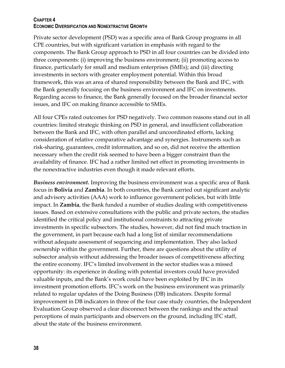### **CHAPTER 4 ECONOMIC DIVERSIFICATION AND NONEXTRACTIVE GROWTH**

Private sector development (PSD) was a specific area of Bank Group programs in all CPE countries, but with significant variation in emphasis with regard to the components. The Bank Group approach to PSD in all four countries can be divided into three components: (i) improving the business environment; (ii) promoting access to finance, particularly for small and medium enterprises (SMEs); and (iii) directing investments in sectors with greater employment potential. Within this broad framework, this was an area of shared responsibility between the Bank and IFC, with the Bank generally focusing on the business environment and IFC on investments. Regarding access to finance, the Bank generally focused on the broader financial sector issues, and IFC on making finance accessible to SMEs.

All four CPEs rated outcomes for PSD negatively. Two common reasons stand out in all countries: limited strategic thinking on PSD in general, and insufficient collaboration between the Bank and IFC, with often parallel and uncoordinated efforts, lacking consideration of relative comparative advantage and synergies. Instruments such as risk-sharing, guarantees, credit information, and so on, did not receive the attention necessary when the credit risk seemed to have been a bigger constraint than the availability of finance. IFC had a rather limited net effect in promoting investments in the nonextractive industries even though it made relevant efforts.

*Business environment.* Improving the business environment was a specific area of Bank focus in **Bolivia** and **Zambia**. In both countries, the Bank carried out significant analytic and advisory activities (AAA) work to influence government policies, but with little impact. In **Zambia**, the Bank funded a number of studies dealing with competitiveness issues. Based on extensive consultations with the public and private sectors, the studies identified the critical policy and institutional constraints to attracting private investments in specific subsectors. The studies, however, did not find much traction in the government, in part because each had a long list of similar recommendations without adequate assessment of sequencing and implementation. They also lacked ownership within the government. Further, there are questions about the utility of subsector analysis without addressing the broader issues of competitiveness affecting the entire economy. IFC's limited involvement in the sector studies was a missed opportunity: its experience in dealing with potential investors could have provided valuable inputs, and the Bank's work could have been exploited by IFC in its investment promotion efforts. IFC's work on the business environment was primarily related to regular updates of the Doing Business (DB) indicators. Despite formal improvement in DB indicators in three of the four case study countries, the Independent Evaluation Group observed a clear disconnect between the rankings and the actual perceptions of main participants and observers on the ground, including IFC staff, about the state of the business environment.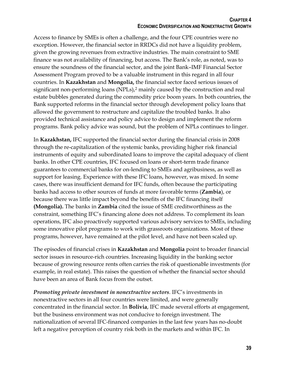Access to finance by SMEs is often a challenge, and the four CPE countries were no exception. However, the financial sector in RRDCs did not have a liquidity problem, given the growing revenues from extractive industries. The main constraint to SME finance was not availability of financing, but access. The Bank's role, as noted, was to ensure the soundness of the financial sector, and the joint Bank–IMF Financial Sector Assessment Program proved to be a valuable instrument in this regard in all four countries. In **Kazakhstan** and **Mongolia,** the financial sector faced serious issues of significant non-performing loans (NPLs),<sup>2</sup> mainly caused by the construction and real estate bubbles generated during the commodity price boom years. In both countries, the Bank supported reforms in the financial sector through development policy loans that allowed the government to restructure and capitalize the troubled banks. It also provided technical assistance and policy advice to design and implement the reform programs. Bank policy advice was sound, but the problem of NPLs continues to linger.

In **Kazakhstan,** IFC supported the financial sector during the financial crisis in 2008 through the re-capitalization of the systemic banks, providing higher risk financial instruments of equity and subordinated loans to improve the capital adequacy of client banks. In other CPE countries, IFC focused on loans or short-term trade finance guarantees to commercial banks for on-lending to SMEs and agribusiness, as well as support for leasing. Experience with these IFC loans, however, was mixed. In some cases, there was insufficient demand for IFC funds, often because the participating banks had access to other sources of funds at more favorable terms (**Zambia**), or because there was little impact beyond the benefits of the IFC financing itself **(Mongolia).** The banks in **Zambia** cited the issue of SME creditworthiness as the constraint, something IFC's financing alone does not address. To complement its loan operations, IFC also proactively supported various advisory services to SMEs, including some innovative pilot programs to work with grassroots organizations. Most of these programs, however, have remained at the pilot level, and have not been scaled up.

The episodes of financial crises in **Kazakhstan** and **Mongolia** point to broader financial sector issues in resource-rich countries. Increasing liquidity in the banking sector because of growing resource rents often carries the risk of questionable investments (for example, in real estate). This raises the question of whether the financial sector should have been an area of Bank focus from the outset.

*Promoting private investment in nonextractive sectors.* IFC's investments in nonextractive sectors in all four countries were limited, and were generally concentrated in the financial sector. In **Bolivia**, IFC made several efforts at engagement, but the business environment was not conducive to foreign investment. The nationalization of several IFC-financed companies in the last few years has no-doubt left a negative perception of country risk both in the markets and within IFC. In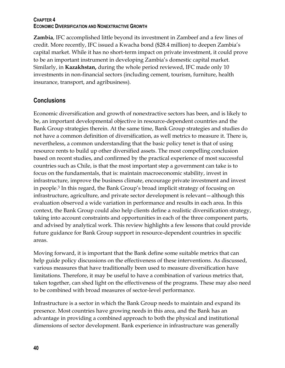### **CHAPTER 4 ECONOMIC DIVERSIFICATION AND NONEXTRACTIVE GROWTH**

**Zambia**, IFC accomplished little beyond its investment in Zambeef and a few lines of credit. More recently, IFC issued a Kwacha bond (\$28.4 million) to deepen Zambia's capital market. While it has no short-term impact on private investment, it could prove to be an important instrument in developing Zambia's domestic capital market. Similarly, in **Kazakhstan,** during the whole period reviewed, IFC made only 10 investments in non-financial sectors (including cement, tourism, furniture, health insurance, transport, and agribusiness).

# <span id="page-52-0"></span>**Conclusions**

Economic diversification and growth of nonextractive sectors has been, and is likely to be, an important developmental objective in resource-dependent countries and the Bank Group strategies therein. At the same time, Bank Group strategies and studies do not have a common definition of diversification, as well metrics to measure it. There is, nevertheless, a common understanding that the basic policy tenet is that of using resource rents to build up other diversified assets. The most compelling conclusion based on recent studies, and confirmed by the practical experience of most successful countries such as Chile, is that the most important step a government can take is to focus on the fundamentals, that is: maintain macroeconomic stability, invest in infrastructure, improve the business climate, encourage private investment and invest in people.<sup>3</sup> In this regard, the Bank Group's broad implicit strategy of focusing on infrastructure, agriculture, and private sector development is relevant—although this evaluation observed a wide variation in performance and results in each area. In this context, the Bank Group could also help clients define a realistic diversification strategy, taking into account constraints and opportunities in each of the three component parts, and advised by analytical work. This review highlights a few lessons that could provide future guidance for Bank Group support in resource-dependent countries in specific areas.

Moving forward, it is important that the Bank define some suitable metrics that can help guide policy discussions on the effectiveness of these interventions. As discussed, various measures that have traditionally been used to measure diversification have limitations. Therefore, it may be useful to have a combination of various metrics that, taken together, can shed light on the effectiveness of the programs. These may also need to be combined with broad measures of sector-level performance.

Infrastructure is a sector in which the Bank Group needs to maintain and expand its presence. Most countries have growing needs in this area, and the Bank has an advantage in providing a combined approach to both the physical and institutional dimensions of sector development. Bank experience in infrastructure was generally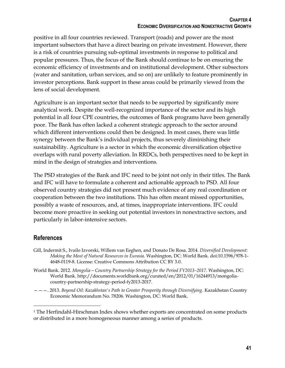positive in all four countries reviewed. Transport (roads) and power are the most important subsectors that have a direct bearing on private investment. However, there is a risk of countries pursuing sub-optimal investments in response to political and popular pressures. Thus, the focus of the Bank should continue to be on ensuring the economic efficiency of investments and on institutional development. Other subsectors (water and sanitation, urban services, and so on) are unlikely to feature prominently in investor perceptions. Bank support in these areas could be primarily viewed from the lens of social development.

Agriculture is an important sector that needs to be supported by significantly more analytical work. Despite the well-recognized importance of the sector and its high potential in all four CPE countries, the outcomes of Bank programs have been generally poor. The Bank has often lacked a coherent strategic approach to the sector around which different interventions could then be designed. In most cases, there was little synergy between the Bank's individual projects, thus severely diminishing their sustainability. Agriculture is a sector in which the economic diversification objective overlaps with rural poverty alleviation. In RRDCs, both perspectives need to be kept in mind in the design of strategies and interventions.

The PSD strategies of the Bank and IFC need to be joint not only in their titles. The Bank and IFC will have to formulate a coherent and actionable approach to PSD. All four observed country strategies did not present much evidence of any real coordination or cooperation between the two institutions. This has often meant missed opportunities, possibly a waste of resources, and, at times, inappropriate interventions. IFC could become more proactive in seeking out potential investors in nonextractive sectors, and particularly in labor-intensive sectors.

### **References**

 $\overline{a}$ 

- Gill, Indermit S., Ivailo Izvorski, Willem van Eeghen, and Donato De Rosa. 2014. *Diversified Development: Making the Most of Natural Resources in Eurasia.* Washington, DC: World Bank. doi:10.1596/978-1- 4648-0119-8. License: Creative Commons Attribution CC BY 3.0.
- World Bank. 2012. *Mongolia—Country Partnership Strategy for the Period FY2013–2017*. Washington, DC: World Bank. http://documents.worldbank.org/curated/en/2012/01/16244913/mongoliacountry-partnership-strategy-period-fy2013-2017.
- ———. 2013. *Beyond Oil: Kazakhstan's Path to Greater Prosperity through Diversifying*. Kazakhstan Country Economic Memorandum No. 78206. Washington, DC: World Bank.

<sup>1</sup> The Herfindahl-Hirschman Index shows whether exports are concentrated on some products or distributed in a more homogeneous manner among a series of products.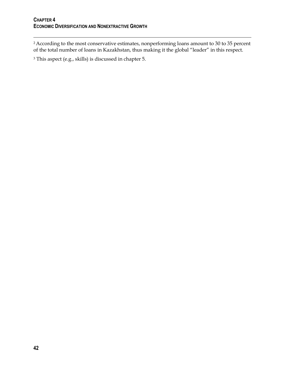$\overline{a}$ 

<sup>2</sup> According to the most conservative estimates, nonperforming loans amount to 30 to 35 percent of the total number of loans in Kazakhstan, thus making it the global "leader" in this respect.

<sup>3</sup> This aspect (e.g., skills) is discussed in chapter 5.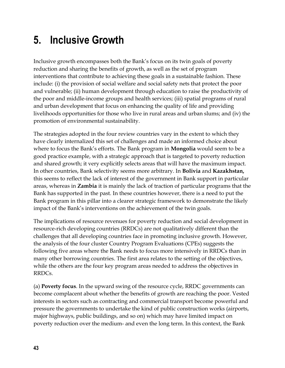# <span id="page-55-0"></span>**5. Inclusive Growth**

Inclusive growth encompasses both the Bank's focus on its twin goals of poverty reduction and sharing the benefits of growth, as well as the set of program interventions that contribute to achieving these goals in a sustainable fashion. These include: (i) the provision of social welfare and social safety nets that protect the poor and vulnerable; (ii) human development through education to raise the productivity of the poor and middle-income groups and health services; (iii) spatial programs of rural and urban development that focus on enhancing the quality of life and providing livelihoods opportunities for those who live in rural areas and urban slums; and (iv) the promotion of environmental sustainability.

The strategies adopted in the four review countries vary in the extent to which they have clearly internalized this set of challenges and made an informed choice about where to focus the Bank's efforts. The Bank program in **Mongolia** would seem to be a good practice example, with a strategic approach that is targeted to poverty reduction and shared growth; it very explicitly selects areas that will have the maximum impact. In other countries, Bank selectivity seems more arbitrary. In **Bolivia** and **Kazakhstan,** this seems to reflect the lack of interest of the government in Bank support in particular areas, whereas in **Zambia** it is mainly the lack of traction of particular programs that the Bank has supported in the past. In these countries however, there is a need to put the Bank program in this pillar into a clearer strategic framework to demonstrate the likely impact of the Bank's interventions on the achievement of the twin goals.

The implications of resource revenues for poverty reduction and social development in resource-rich developing countries (RRDCs) are not qualitatively different than the challenges that all developing countries face in promoting inclusive growth. However, the analysis of the four cluster Country Program Evaluations (CPEs) suggests the following five areas where the Bank needs to focus more intensively in RRDCs than in many other borrowing countries. The first area relates to the setting of the objectives, while the others are the four key program areas needed to address the objectives in RRDCs.

(a) **Poverty focus**. In the upward swing of the resource cycle, RRDC governments can become complacent about whether the benefits of growth are reaching the poor. Vested interests in sectors such as contracting and commercial transport become powerful and pressure the governments to undertake the kind of public construction works (airports, major highways, public buildings, and so on) which may have limited impact on poverty reduction over the medium- and even the long term. In this context, the Bank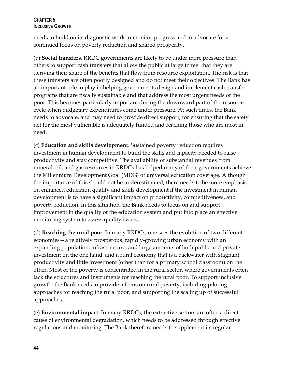### **CHAPTER 5 INCLUSIVE GROWTH**

needs to build on its diagnostic work to monitor progress and to advocate for a continued focus on poverty reduction and shared prosperity.

(b) **Social transfers**. RRDC governments are likely to be under more pressure than others to support cash transfers that allow the public at large to feel that they are deriving their share of the benefits that flow from resource exploitation. The risk is that these transfers are often poorly designed and do not meet their objectives. The Bank has an important role to play in helping governments design and implement cash transfer programs that are fiscally sustainable and that address the most urgent needs of the poor. This becomes particularly important during the downward part of the resource cycle when budgetary expenditures come under pressure. At such times, the Bank needs to advocate, and may need to provide direct support, for ensuring that the safety net for the most vulnerable is adequately funded and reaching those who are most in need.

(c) **Education and skills development**. Sustained poverty reduction requires investment in human development to build the skills and capacity needed to raise productivity and stay competitive. The availability of substantial revenues from mineral, oil, and gas resources in RRDCs has helped many of their governments achieve the Millennium Development Goal (MDG) of universal education coverage. Although the importance of this should not be underestimated, there needs to be more emphasis on enhanced education quality and skills development if the investment in human development is to have a significant impact on productivity, competitiveness, and poverty reduction. In this situation, the Bank needs to focus on and support improvement in the quality of the education system and put into place an effective monitoring system to assess quality issues.

(d) **Reaching the rural poor**. In many RRDCs, one sees the evolution of two different economies—a relatively prosperous, rapidly-growing urban economy with an expanding population, infrastructure, and large amounts of both public and private investment on the one hand, and a rural economy that is a backwater with stagnant productivity and little investment (other than for a primary school classroom) on the other. Most of the poverty is concentrated in the rural sector, where governments often lack the structures and instruments for reaching the rural poor. To support inclusive growth, the Bank needs to provide a focus on rural poverty, including piloting approaches for reaching the rural poor, and supporting the scaling up of successful approaches.

(e) **Environmental impact**. In many RRDCs, the extractive sectors are often a direct cause of environmental degradation, which needs to be addressed through effective regulations and monitoring. The Bank therefore needs to supplement its regular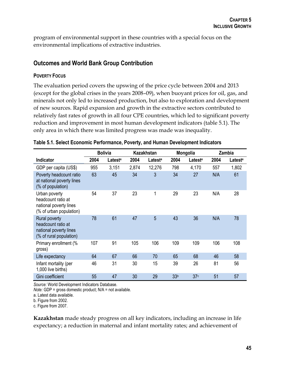program of environmental support in these countries with a special focus on the environmental implications of extractive industries.

### <span id="page-57-0"></span>**Outcomes and World Bank Group Contribution**

### **POVERTY FOCUS**

The evaluation period covers the upswing of the price cycle between 2004 and 2013 (except for the global crises in the years 2008–09), when buoyant prices for oil, gas, and minerals not only led to increased production, but also to exploration and development of new sources. Rapid expansion and growth in the extractive sectors contributed to relatively fast rates of growth in all four CPE countries, which led to significant poverty reduction and improvement in most human development indicators (table 5.1). The only area in which there was limited progress was made was inequality.

|                                                                                          | <b>Bolivia</b><br><b>Kazakhstan</b> |                     |       | Mongolia            | Zambia          |                     |      |                     |
|------------------------------------------------------------------------------------------|-------------------------------------|---------------------|-------|---------------------|-----------------|---------------------|------|---------------------|
| Indicator                                                                                | 2004                                | Latest <sup>a</sup> | 2004  | Latest <sup>a</sup> | 2004            | Latest <sup>a</sup> | 2004 | Latest <sup>a</sup> |
| GDP per capita (US\$)                                                                    | 955                                 | 3,151               | 2,874 | 12,276              | 798             | 4,170               | 557  | 1,802               |
| Poverty headcount ratio<br>at national poverty lines<br>(% of population)                | 63                                  | 45                  | 34    | 3                   | 34              | 27                  | N/A  | 61                  |
| Urban poverty<br>headcount ratio at<br>national poverty lines<br>(% of urban population) | 54                                  | 37                  | 23    | 1                   | 29              | 23                  | N/A  | 28                  |
| Rural poverty<br>headcount ratio at<br>national poverty lines<br>(% of rural population) | 78                                  | 61                  | 47    | 5                   | 43              | 36                  | N/A  | 78                  |
| Primary enrollment (%<br>gross)                                                          | 107                                 | 91                  | 105   | 106                 | 109             | 109                 | 106  | 108                 |
| Life expectancy                                                                          | 64                                  | 67                  | 66    | 70                  | 65              | 68                  | 46   | 58                  |
| Infant mortality (per<br>1,000 live births)                                              | 46                                  | 31                  | 30    | 15                  | 39              | 26                  | 81   | 56                  |
| Gini coefficient                                                                         | 55                                  | 47                  | 30    | 29                  | 33 <sup>b</sup> | 37 <sup>c</sup>     | 51   | 57                  |

#### <span id="page-57-1"></span>**Table 5.1. Select Economic Performance, Poverty, and Human Development Indicators**

*Source:* World Development Indicators Database.

*Note:* GDP = gross domestic product; N/A = not available.

a. Latest data available.

b. Figure from 2002.

c. Figure from 2007.

**Kazakhstan** made steady progress on all key indicators, including an increase in life expectancy; a reduction in maternal and infant mortality rates; and achievement of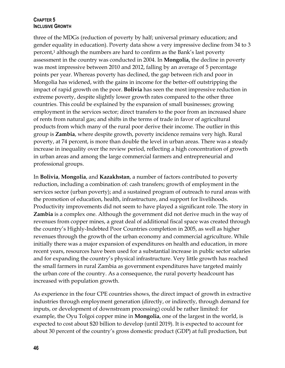### **CHAPTER 5 INCLUSIVE GROWTH**

three of the MDGs (reduction of poverty by half; universal primary education; and gender equality in education). Poverty data show a very impressive decline from 34 to 3 percent,<sup>1</sup> although the numbers are hard to confirm as the Bank's last poverty assessment in the country was conducted in 2004. In **Mongolia,** the decline in poverty was most impressive between 2010 and 2012, falling by an average of 5 percentage points per year. Whereas poverty has declined, the gap between rich and poor in Mongolia has widened, with the gains in income for the better-off outstripping the impact of rapid growth on the poor. **Bolivia** has seen the most impressive reduction in extreme poverty, despite slightly lower growth rates compared to the other three countries. This could be explained by the expansion of small businesses; growing employment in the services sector; direct transfers to the poor from an increased share of rents from natural gas; and shifts in the terms of trade in favor of agricultural products from which many of the rural poor derive their income. The outlier in this group is **Zambia**, where despite growth, poverty incidence remains very high. Rural poverty, at 74 percent, is more than double the level in urban areas. There was a steady increase in inequality over the review period, reflecting a high concentration of growth in urban areas and among the large commercial farmers and entrepreneurial and professional groups.

In **Bolivia**, **Mongolia**, and **Kazakhstan**, a number of factors contributed to poverty reduction, including a combination of: cash transfers; growth of employment in the services sector (urban poverty); and a sustained program of outreach to rural areas with the promotion of education, health, infrastructure, and support for livelihoods. Productivity improvements did not seem to have played a significant role. The story in **Zambia** is a complex one. Although the government did not derive much in the way of revenues from copper mines, a great deal of additional fiscal space was created through the country's Highly-Indebted Poor Countries completion in 2005, as well as higher revenues through the growth of the urban economy and commercial agriculture. While initially there was a major expansion of expenditures on health and education, in more recent years, resources have been used for a substantial increase in public sector salaries and for expanding the country's physical infrastructure. Very little growth has reached the small farmers in rural Zambia as government expenditures have targeted mainly the urban core of the country. As a consequence, the rural poverty headcount has increased with population growth.

As experience in the four CPE countries shows, the direct impact of growth in extractive industries through employment generation (directly, or indirectly, through demand for inputs, or development of downstream processing) could be rather limited: for example, the Oyu Tolgoi copper mine in **Mongolia**, one of the largest in the world, is expected to cost about \$20 billion to develop (until 2019). It is expected to account for about 30 percent of the country's gross domestic product (GDP) at full production, but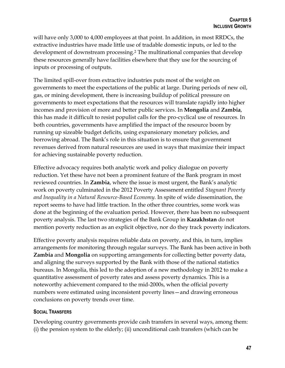will have only 3,000 to 4,000 employees at that point. In addition, in most RRDCs, the extractive industries have made little use of tradable domestic inputs, or led to the development of downstream processing.<sup>2</sup> The multinational companies that develop these resources generally have facilities elsewhere that they use for the sourcing of inputs or processing of outputs.

The limited spill-over from extractive industries puts most of the weight on governments to meet the expectations of the public at large. During periods of new oil, gas, or mining development, there is increasing buildup of political pressure on governments to meet expectations that the resources will translate rapidly into higher incomes and provision of more and better public services. In **Mongolia** and **Zambia**, this has made it difficult to resist populist calls for the pro-cyclical use of resources. In both countries, governments have amplified the impact of the resource boom by running up sizeable budget deficits, using expansionary monetary policies, and borrowing abroad. The Bank's role in this situation is to ensure that government revenues derived from natural resources are used in ways that maximize their impact for achieving sustainable poverty reduction.

Effective advocacy requires both analytic work and policy dialogue on poverty reduction. Yet these have not been a prominent feature of the Bank program in most reviewed countries. In **Zambia**, where the issue is most urgent, the Bank's analytic work on poverty culminated in the 2012 Poverty Assessment entitled *Stagnant Poverty and Inequality in a Natural Resource-Based Economy.* In spite of wide dissemination, the report seems to have had little traction. In the other three countries, some work was done at the beginning of the evaluation period. However, there has been no subsequent poverty analysis. The last two strategies of the Bank Group in **Kazakhstan** do not mention poverty reduction as an explicit objective, nor do they track poverty indicators.

Effective poverty analysis requires reliable data on poverty, and this, in turn, implies arrangements for monitoring through regular surveys. The Bank has been active in both **Zambia** and **Mongolia** on supporting arrangements for collecting better poverty data, and aligning the surveys supported by the Bank with those of the national statistics bureaus. In Mongolia, this led to the adoption of a new methodology in 2012 to make a quantitative assessment of poverty rates and assess poverty dynamics. This is a noteworthy achievement compared to the mid-2000s, when the official poverty numbers were estimated using inconsistent poverty lines—and drawing erroneous conclusions on poverty trends over time.

### **SOCIAL TRANSFERS**

Developing country governments provide cash transfers in several ways, among them: (i) the pension system to the elderly; (ii) unconditional cash transfers (which can be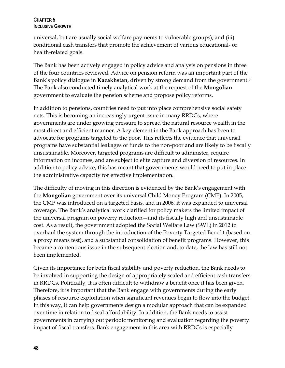### **CHAPTER 5 INCLUSIVE GROWTH**

universal, but are usually social welfare payments to vulnerable groups); and (iii) conditional cash transfers that promote the achievement of various educational- or health-related goals.

The Bank has been actively engaged in policy advice and analysis on pensions in three of the four countries reviewed. Advice on pension reform was an important part of the Bank's policy dialogue in **Kazakhstan**, driven by strong demand from the government.<sup>3</sup> The Bank also conducted timely analytical work at the request of the **Mongolian** government to evaluate the pension scheme and propose policy reforms.

In addition to pensions, countries need to put into place comprehensive social safety nets. This is becoming an increasingly urgent issue in many RRDCs, where governments are under growing pressure to spread the natural resource wealth in the most direct and efficient manner. A key element in the Bank approach has been to advocate for programs targeted to the poor. This reflects the evidence that universal programs have substantial leakages of funds to the non-poor and are likely to be fiscally unsustainable. Moreover, targeted programs are difficult to administer, require information on incomes, and are subject to elite capture and diversion of resources. In addition to policy advice, this has meant that governments would need to put in place the administrative capacity for effective implementation.

The difficulty of moving in this direction is evidenced by the Bank's engagement with the **Mongolian** government over its universal Child Money Program (CMP). In 2005, the CMP was introduced on a targeted basis, and in 2006, it was expanded to universal coverage. The Bank's analytical work clarified for policy makers the limited impact of the universal program on poverty reduction—and its fiscally high and unsustainable cost. As a result, the government adopted the Social Welfare Law (SWL) in 2012 to overhaul the system through the introduction of the Poverty Targeted Benefit (based on a proxy means test), and a substantial consolidation of benefit programs. However, this became a contentious issue in the subsequent election and, to date, the law has still not been implemented.

Given its importance for both fiscal stability and poverty reduction, the Bank needs to be involved in supporting the design of appropriately scaled and efficient cash transfers in RRDCs. Politically, it is often difficult to withdraw a benefit once it has been given. Therefore, it is important that the Bank engage with governments during the early phases of resource exploitation when significant revenues begin to flow into the budget. In this way, it can help governments design a modular approach that can be expanded over time in relation to fiscal affordability. In addition, the Bank needs to assist governments in carrying out periodic monitoring and evaluation regarding the poverty impact of fiscal transfers. Bank engagement in this area with RRDCs is especially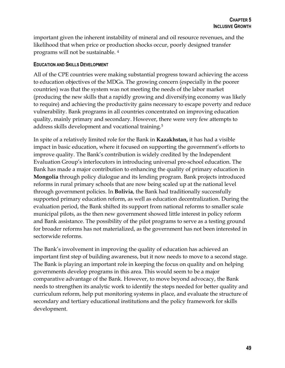important given the inherent instability of mineral and oil resource revenues, and the likelihood that when price or production shocks occur, poorly designed transfer programs will not be sustainable. <sup>4</sup>

### **EDUCATION AND SKILLS DEVELOPMENT**

All of the CPE countries were making substantial progress toward achieving the access to education objectives of the MDGs. The growing concern (especially in the poorer countries) was that the system was not meeting the needs of the labor market (producing the new skills that a rapidly growing and diversifying economy was likely to require) and achieving the productivity gains necessary to escape poverty and reduce vulnerability. Bank programs in all countries concentrated on improving education quality, mainly primary and secondary. However, there were very few attempts to address skills development and vocational training.<sup>5</sup>

In spite of a relatively limited role for the Bank in **Kazakhstan,** it has had a visible impact in basic education, where it focused on supporting the government's efforts to improve quality. The Bank's contribution is widely credited by the Independent Evaluation Group's interlocutors in introducing universal pre-school education. The Bank has made a major contribution to enhancing the quality of primary education in **Mongolia** through policy dialogue and its lending program. Bank projects introduced reforms in rural primary schools that are now being scaled up at the national level through government policies. In **Bolivia**, the Bank had traditionally successfully supported primary education reform, as well as education decentralization. During the evaluation period, the Bank shifted its support from national reforms to smaller scale municipal pilots, as the then new government showed little interest in policy reform and Bank assistance. The possibility of the pilot programs to serve as a testing ground for broader reforms has not materialized, as the government has not been interested in sectorwide reforms.

The Bank's involvement in improving the quality of education has achieved an important first step of building awareness, but it now needs to move to a second stage. The Bank is playing an important role in keeping the focus on quality and on helping governments develop programs in this area. This would seem to be a major comparative advantage of the Bank. However, to move beyond advocacy, the Bank needs to strengthen its analytic work to identify the steps needed for better quality and curriculum reform, help put monitoring systems in place, and evaluate the structure of secondary and tertiary educational institutions and the policy framework for skills development.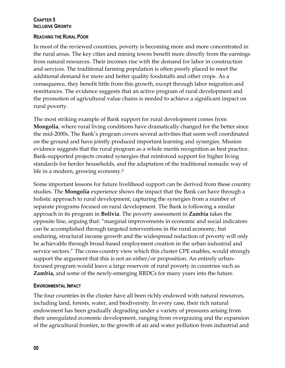### **CHAPTER 5 INCLUSIVE GROWTH**

### **REACHING THE RURAL POOR**

In most of the reviewed countries, poverty is becoming more and more concentrated in the rural areas. The key cities and mining towns benefit more directly from the earnings from natural resources. Their incomes rise with the demand for labor in construction and services. The traditional farming population is often poorly placed to meet the additional demand for more and better quality foodstuffs and other crops. As a consequence, they benefit little from this growth, except through labor migration and remittances. The evidence suggests that an active program of rural development and the promotion of agricultural value chains is needed to achieve a significant impact on rural poverty.

The most striking example of Bank support for rural development comes from **Mongolia**, where rural living conditions have dramatically changed for the better since the mid-2000s. The Bank's program covers several activities that seem well coordinated on the ground and have jointly produced important learning and synergies. Mission evidence suggests that the rural program as a whole merits recognition as best practice. Bank-supported projects created synergies that reinforced support for higher living standards for herder households, and the adaptation of the traditional nomadic way of life in a modern, growing economy.<sup>6</sup>

Some important lessons for future livelihood support can be derived from these country studies. The **Mongolia** experience shows the impact that the Bank can have through a holistic approach to rural development, capturing the synergies from a number of separate programs focused on rural development. The Bank is following a similar approach in its program in **Bolivia**. The poverty assessment in **Zambia** takes the opposite line, arguing that: "marginal improvements in economic and social indicators can be accomplished through targeted interventions in the rural economy, but enduring, structural income growth and the widespread reduction of poverty will only be achievable through broad-based employment creation in the urban industrial and service sectors." The cross-country view which this cluster CPE enables, would strongly support the argument that this is not an either/or proposition. An entirely urbanfocused program would leave a large reservoir of rural poverty in countries such as **Zambia,** and some of the newly-emerging RRDCs for many years into the future.

### **ENVIRONMENTAL IMPACT**

The four countries in the cluster have all been richly endowed with natural resources, including land, forests, water, and biodiversity. In every case, their rich natural endowment has been gradually degrading under a variety of pressures arising from their unregulated economic development, ranging from overgrazing and the expansion of the agricultural frontier, to the growth of air and water pollution from industrial and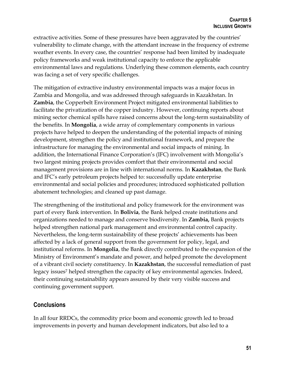extractive activities. Some of these pressures have been aggravated by the countries' vulnerability to climate change, with the attendant increase in the frequency of extreme weather events. In every case, the countries' response had been limited by inadequate policy frameworks and weak institutional capacity to enforce the applicable environmental laws and regulations. Underlying these common elements, each country was facing a set of very specific challenges.

The mitigation of extractive industry environmental impacts was a major focus in Zambia and Mongolia, and was addressed through safeguards in Kazakhstan. In **Zambia**, the Copperbelt Environment Project mitigated environmental liabilities to facilitate the privatization of the copper industry. However, continuing reports about mining sector chemical spills have raised concerns about the long-term sustainability of the benefits. In **Mongolia**, a wide array of complementary components in various projects have helped to deepen the understanding of the potential impacts of mining development, strengthen the policy and institutional framework, and prepare the infrastructure for managing the environmental and social impacts of mining. In addition, the International Finance Corporation's (IFC) involvement with Mongolia's two largest mining projects provides comfort that their environmental and social management provisions are in line with international norms. In **Kazakhstan**, the Bank and IFC's early petroleum projects helped to: successfully update enterprise environmental and social policies and procedures; introduced sophisticated pollution abatement technologies; and cleaned up past damage.

The strengthening of the institutional and policy framework for the environment was part of every Bank intervention. In **Bolivia**, the Bank helped create institutions and organizations needed to manage and conserve biodiversity. In **Zambia,** Bank projects helped strengthen national park management and environmental control capacity. Nevertheless, the long-term sustainability of these projects' achievements has been affected by a lack of general support from the government for policy, legal, and institutional reforms. In **Mongolia**, the Bank directly contributed to the expansion of the Ministry of Environment's mandate and power, and helped promote the development of a vibrant civil society constituency. In **Kazakhstan**, the successful remediation of past legacy issues<sup>7</sup> helped strengthen the capacity of key environmental agencies. Indeed, their continuing sustainability appears assured by their very visible success and continuing government support.

### <span id="page-63-0"></span>**Conclusions**

In all four RRDCs, the commodity price boom and economic growth led to broad improvements in poverty and human development indicators, but also led to a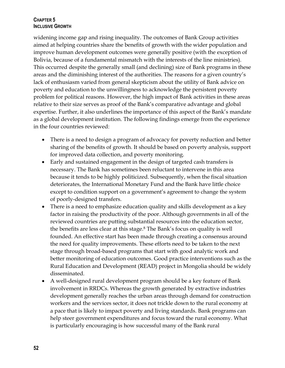### **CHAPTER 5 INCLUSIVE GROWTH**

widening income gap and rising inequality. The outcomes of Bank Group activities aimed at helping countries share the benefits of growth with the wider population and improve human development outcomes were generally positive (with the exception of Bolivia, because of a fundamental mismatch with the interests of the line ministries). This occurred despite the generally small (and declining) size of Bank programs in these areas and the diminishing interest of the authorities. The reasons for a given country's lack of enthusiasm varied from general skepticism about the utility of Bank advice on poverty and education to the unwillingness to acknowledge the persistent poverty problem for political reasons. However, the high impact of Bank activities in these areas relative to their size serves as proof of the Bank's comparative advantage and global expertise. Further, it also underlines the importance of this aspect of the Bank's mandate as a global development institution. The following findings emerge from the experience in the four countries reviewed:

- There is a need to design a program of advocacy for poverty reduction and better sharing of the benefits of growth. It should be based on poverty analysis, support for improved data collection, and poverty monitoring.
- Early and sustained engagement in the design of targeted cash transfers is necessary. The Bank has sometimes been reluctant to intervene in this area because it tends to be highly politicized. Subsequently, when the fiscal situation deteriorates, the International Monetary Fund and the Bank have little choice except to condition support on a government's agreement to change the system of poorly-designed transfers.
- There is a need to emphasize education quality and skills development as a key factor in raising the productivity of the poor. Although governments in all of the reviewed countries are putting substantial resources into the education sector, the benefits are less clear at this stage.<sup>8</sup> The Bank's focus on quality is well founded. An effective start has been made through creating a consensus around the need for quality improvements. These efforts need to be taken to the next stage through broad-based programs that start with good analytic work and better monitoring of education outcomes. Good practice interventions such as the Rural Education and Development (READ) project in Mongolia should be widely disseminated.
- A well-designed rural development program should be a key feature of Bank involvement in RRDCs. Whereas the growth generated by extractive industries development generally reaches the urban areas through demand for construction workers and the services sector, it does not trickle down to the rural economy at a pace that is likely to impact poverty and living standards. Bank programs can help steer government expenditures and focus toward the rural economy. What is particularly encouraging is how successful many of the Bank rural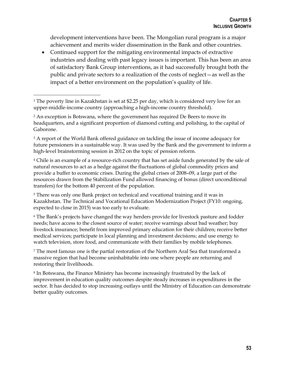development interventions have been. The Mongolian rural program is a major achievement and merits wider dissemination in the Bank and other countries.

 Continued support for the mitigating environmental impacts of extractive industries and dealing with past legacy issues is important. This has been an area of satisfactory Bank Group interventions, as it had successfully brought both the public and private sectors to a realization of the costs of neglect—as well as the impact of a better environment on the population's quality of life.

 $\overline{a}$ 

<sup>3</sup> A report of the World Bank offered guidance on tackling the issue of income adequacy for future pensioners in a sustainable way. It was used by the Bank and the government to inform a high-level brainstorming session in 2012 on the topic of pension reform.

<sup>4</sup> Chile is an example of a resource-rich country that has set aside funds generated by the sale of natural resources to act as a hedge against the fluctuations of global commodity prices and provide a buffer to economic crises. During the global crises of 2008–09, a large part of the resources drawn from the Stabilization Fund allowed financing of bonus (direct unconditional transfers) for the bottom 40 percent of the population.

<sup>5</sup> There was only one Bank project on technical and vocational training and it was in Kazakhstan. The Technical and Vocational Education Modernization Project (FY10: ongoing, expected to close in 2015) was too early to evaluate.

<sup>6</sup> The Bank's projects have changed the way herders provide for livestock pasture and fodder needs; have access to the closest source of water; receive warnings about bad weather; buy livestock insurance; benefit from improved primary education for their children; receive better medical services; participate in local planning and investment decisions; and use energy to watch television, store food, and communicate with their families by mobile telephones.

<sup>7</sup> The most famous one is the partial restoration of the Northern Aral Sea that transformed a massive region that had become uninhabitable into one where people are returning and restoring their livelihoods.

<sup>8</sup> In Botswana, the Finance Ministry has become increasingly frustrated by the lack of improvement in education quality outcomes despite steady increases in expenditures in the sector. It has decided to stop increasing outlays until the Ministry of Education can demonstrate better quality outcomes.

<sup>&</sup>lt;sup>1</sup> The poverty line in Kazakhstan is set at \$2.25 per day, which is considered very low for an upper-middle-income country (approaching a high-income country threshold).

<sup>2</sup> An exception is Botswana, where the government has required De Beers to move its headquarters, and a significant proportion of diamond cutting and polishing, to the capital of Gaborone.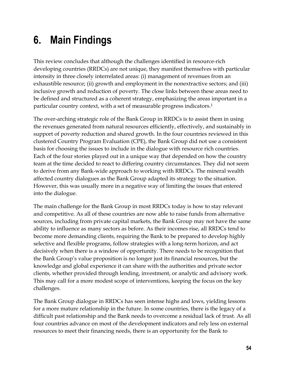# <span id="page-66-0"></span>**6. Main Findings**

This review concludes that although the challenges identified in resource-rich developing countries (RRDCs) are not unique, they manifest themselves with particular intensity in three closely interrelated areas: (i) management of revenues from an exhaustible resource; (ii) growth and employment in the nonextractive sectors; and (iii) inclusive growth and reduction of poverty. The close links between these areas need to be defined and structured as a coherent strategy, emphasizing the areas important in a particular country context, with a set of measurable progress indicators.<sup>1</sup>

The over-arching strategic role of the Bank Group in RRDCs is to assist them in using the revenues generated from natural resources efficiently, effectively, and sustainably in support of poverty reduction and shared growth. In the four countries reviewed in this clustered Country Program Evaluation (CPE), the Bank Group did not use a consistent basis for choosing the issues to include in the dialogue with resource rich countries. Each of the four stories played out in a unique way that depended on how the country team at the time decided to react to differing country circumstances. They did not seem to derive from any Bank-wide approach to working with RRDCs. The mineral wealth affected country dialogues as the Bank Group adapted its strategy to the situation. However, this was usually more in a negative way of limiting the issues that entered into the dialogue.

The main challenge for the Bank Group in most RRDCs today is how to stay relevant and competitive. As all of these countries are now able to raise funds from alternative sources, including from private capital markets, the Bank Group may not have the same ability to influence as many sectors as before. As their incomes rise, all RRDCs tend to become more demanding clients, requiring the Bank to be prepared to develop highly selective and flexible programs, follow strategies with a long-term horizon, and act decisively when there is a window of opportunity. There needs to be recognition that the Bank Group's value proposition is no longer just its financial resources, but the knowledge and global experience it can share with the authorities and private sector clients, whether provided through lending, investment, or analytic and advisory work. This may call for a more modest scope of interventions, keeping the focus on the key challenges.

The Bank Group dialogue in RRDCs has seen intense highs and lows, yielding lessons for a more mature relationship in the future. In some countries, there is the legacy of a difficult past relationship and the Bank needs to overcome a residual lack of trust. As all four countries advance on most of the development indicators and rely less on external resources to meet their financing needs, there is an opportunity for the Bank to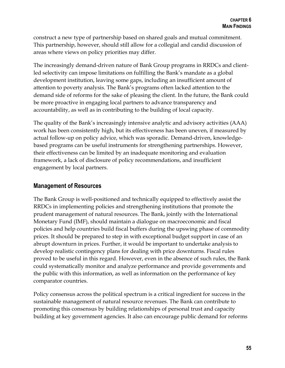construct a new type of partnership based on shared goals and mutual commitment. This partnership, however, should still allow for a collegial and candid discussion of areas where views on policy priorities may differ.

The increasingly demand-driven nature of Bank Group programs in RRDCs and clientled selectivity can impose limitations on fulfilling the Bank's mandate as a global development institution, leaving some gaps, including an insufficient amount of attention to poverty analysis. The Bank's programs often lacked attention to the demand side of reforms for the sake of pleasing the client. In the future, the Bank could be more proactive in engaging local partners to advance transparency and accountability, as well as in contributing to the building of local capacity.

The quality of the Bank's increasingly intensive analytic and advisory activities (AAA) work has been consistently high, but its effectiveness has been uneven, if measured by actual follow-up on policy advice, which was sporadic. Demand-driven, knowledgebased programs can be useful instruments for strengthening partnerships. However, their effectiveness can be limited by an inadequate monitoring and evaluation framework, a lack of disclosure of policy recommendations, and insufficient engagement by local partners.

### <span id="page-67-0"></span>**Management of Resources**

The Bank Group is well-positioned and technically equipped to effectively assist the RRDCs in implementing policies and strengthening institutions that promote the prudent management of natural resources. The Bank, jointly with the International Monetary Fund (IMF), should maintain a dialogue on macroeconomic and fiscal policies and help countries build fiscal buffers during the upswing phase of commodity prices. It should be prepared to step in with exceptional budget support in case of an abrupt downturn in prices. Further, it would be important to undertake analysis to develop realistic contingency plans for dealing with price downturns. Fiscal rules proved to be useful in this regard. However, even in the absence of such rules, the Bank could systematically monitor and analyze performance and provide governments and the public with this information, as well as information on the performance of key comparator countries.

Policy consensus across the political spectrum is a critical ingredient for success in the sustainable management of natural resource revenues. The Bank can contribute to promoting this consensus by building relationships of personal trust and capacity building at key government agencies. It also can encourage public demand for reforms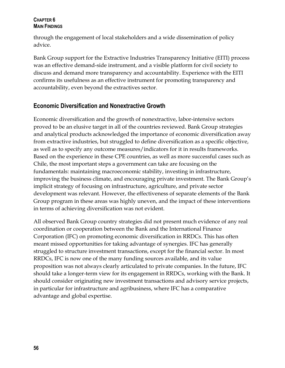### **CHAPTER 6 MAIN FINDINGS**

through the engagement of local stakeholders and a wide dissemination of policy advice.

Bank Group support for the Extractive Industries Transparency Initiative (EITI) process was an effective demand-side instrument, and a visible platform for civil society to discuss and demand more transparency and accountability. Experience with the EITI confirms its usefulness as an effective instrument for promoting transparency and accountability, even beyond the extractives sector.

### <span id="page-68-0"></span>**Economic Diversification and Nonextractive Growth**

Economic diversification and the growth of nonextractive, labor-intensive sectors proved to be an elusive target in all of the countries reviewed. Bank Group strategies and analytical products acknowledged the importance of economic diversification away from extractive industries, but struggled to define diversification as a specific objective, as well as to specify any outcome measures/indicators for it in results frameworks. Based on the experience in these CPE countries, as well as more successful cases such as Chile, the most important steps a government can take are focusing on the fundamentals: maintaining macroeconomic stability, investing in infrastructure, improving the business climate, and encouraging private investment. The Bank Group's implicit strategy of focusing on infrastructure, agriculture, and private sector development was relevant. However, the effectiveness of separate elements of the Bank Group program in these areas was highly uneven, and the impact of these interventions in terms of achieving diversification was not evident.

All observed Bank Group country strategies did not present much evidence of any real coordination or cooperation between the Bank and the International Finance Corporation (IFC) on promoting economic diversification in RRDCs. This has often meant missed opportunities for taking advantage of synergies. IFC has generally struggled to structure investment transactions, except for the financial sector. In most RRDCs, IFC is now one of the many funding sources available, and its value proposition was not always clearly articulated to private companies. In the future, IFC should take a longer-term view for its engagement in RRDCs, working with the Bank. It should consider originating new investment transactions and advisory service projects, in particular for infrastructure and agribusiness, where IFC has a comparative advantage and global expertise.